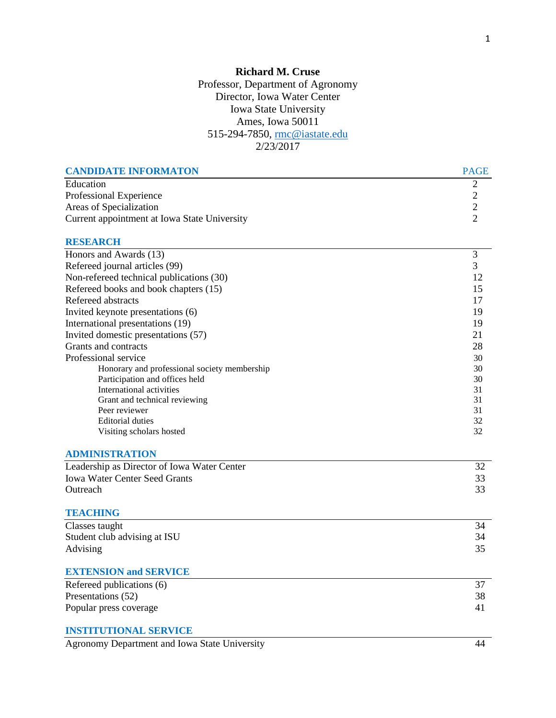## **Richard M. Cruse** Professor, Department of Agronomy Director, Iowa Water Center Iowa State University Ames, Iowa 50011 515-294-7850, [rmc@iastate.edu](mailto:rmc@iastate.edu) 2/23/2017

| <b>CANDIDATE INFORMATON</b>                    | <b>PAGE</b>                                |
|------------------------------------------------|--------------------------------------------|
| Education                                      | $\mathfrak{2}$                             |
| Professional Experience                        |                                            |
| Areas of Specialization                        | $\begin{array}{c} 2 \\ 2 \\ 2 \end{array}$ |
| Current appointment at Iowa State University   |                                            |
| <b>RESEARCH</b>                                |                                            |
| Honors and Awards (13)                         | 3                                          |
| Refereed journal articles (99)                 | 3                                          |
| Non-refereed technical publications (30)       | 12                                         |
| Refereed books and book chapters (15)          | 15                                         |
| Refereed abstracts                             | 17                                         |
| Invited keynote presentations (6)              | 19                                         |
| International presentations (19)               | 19                                         |
| Invited domestic presentations (57)            | 21                                         |
| Grants and contracts                           | 28                                         |
| Professional service                           | 30                                         |
| Honorary and professional society membership   | 30                                         |
| Participation and offices held                 | 30                                         |
| International activities                       | 31                                         |
| Grant and technical reviewing<br>Peer reviewer | 31<br>31                                   |
| <b>Editorial duties</b>                        | 32                                         |
| Visiting scholars hosted                       | 32                                         |
| <b>ADMINISTRATION</b>                          |                                            |
| Leadership as Director of Iowa Water Center    | 32                                         |
| <b>Iowa Water Center Seed Grants</b>           | 33                                         |
| Outreach                                       | 33                                         |
| <b>TEACHING</b>                                |                                            |
| Classes taught                                 | 34                                         |
| Student club advising at ISU                   | 34                                         |
| Advising                                       | 35                                         |
| <b>EXTENSION and SERVICE</b>                   |                                            |
| Refereed publications $\overline{(6)}$         | 37                                         |
| Presentations (52)                             | 38                                         |
| Popular press coverage                         | 41                                         |
| <b>INSTITUTIONAL SERVICE</b>                   |                                            |
| Agronomy Department and Iowa State University  | 44                                         |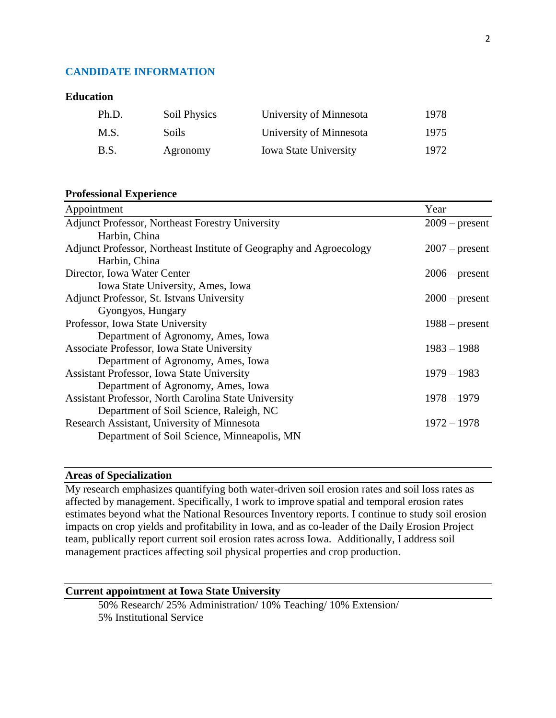#### **CANDIDATE INFORMATION**

#### **Education**

| Ph.D.       | Soil Physics | University of Minnesota      | 1978 |
|-------------|--------------|------------------------------|------|
| M.S.        | Soils.       | University of Minnesota      | 1975 |
| <b>B.S.</b> | Agronomy     | <b>Iowa State University</b> | 1972 |

#### **Professional Experience**

| Appointment                                                         | Year             |
|---------------------------------------------------------------------|------------------|
| <b>Adjunct Professor, Northeast Forestry University</b>             | $2009$ – present |
| Harbin, China                                                       |                  |
| Adjunct Professor, Northeast Institute of Geography and Agroecology | $2007$ – present |
| Harbin, China                                                       |                  |
| Director, Iowa Water Center                                         | $2006$ – present |
| Iowa State University, Ames, Iowa                                   |                  |
| Adjunct Professor, St. Istvans University                           | $2000$ – present |
| Gyongyos, Hungary                                                   |                  |
| Professor, Iowa State University                                    | $1988 - present$ |
| Department of Agronomy, Ames, Iowa                                  |                  |
| Associate Professor, Iowa State University                          | $1983 - 1988$    |
| Department of Agronomy, Ames, Iowa                                  |                  |
| <b>Assistant Professor, Iowa State University</b>                   | $1979 - 1983$    |
| Department of Agronomy, Ames, Iowa                                  |                  |
| <b>Assistant Professor, North Carolina State University</b>         | $1978 - 1979$    |
| Department of Soil Science, Raleigh, NC                             |                  |
| Research Assistant, University of Minnesota                         | $1972 - 1978$    |
| Department of Soil Science, Minneapolis, MN                         |                  |
|                                                                     |                  |

#### **Areas of Specialization**

My research emphasizes quantifying both water-driven soil erosion rates and soil loss rates as affected by management. Specifically, I work to improve spatial and temporal erosion rates estimates beyond what the National Resources Inventory reports. I continue to study soil erosion impacts on crop yields and profitability in Iowa, and as co-leader of the Daily Erosion Project team, publically report current soil erosion rates across Iowa. Additionally, I address soil management practices affecting soil physical properties and crop production.

#### **Current appointment at Iowa State University**

50% Research/ 25% Administration/ 10% Teaching/ 10% Extension/ 5% Institutional Service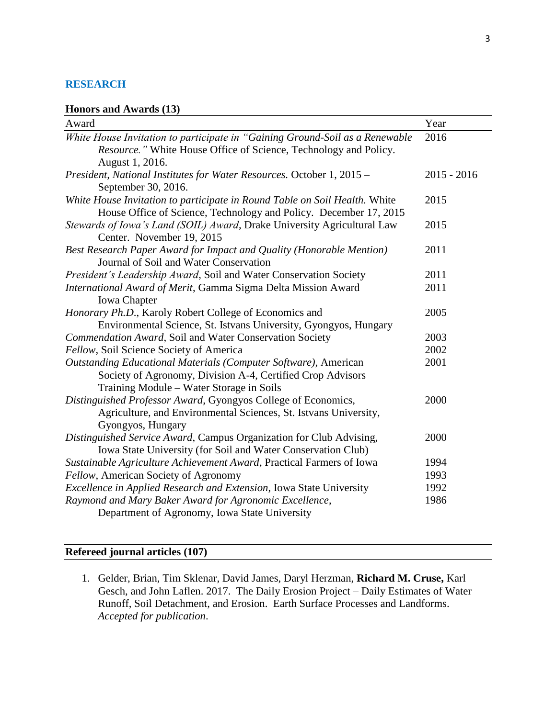#### **RESEARCH**

#### **Honors and Awards (13)**

| Award                                                                        | Year          |
|------------------------------------------------------------------------------|---------------|
| White House Invitation to participate in "Gaining Ground-Soil as a Renewable | 2016          |
| Resource." White House Office of Science, Technology and Policy.             |               |
| August 1, 2016.                                                              |               |
| President, National Institutes for Water Resources. October 1, 2015 -        | $2015 - 2016$ |
| September 30, 2016.                                                          |               |
| White House Invitation to participate in Round Table on Soil Health. White   | 2015          |
| House Office of Science, Technology and Policy. December 17, 2015            |               |
| Stewards of Iowa's Land (SOIL) Award, Drake University Agricultural Law      | 2015          |
| Center. November 19, 2015                                                    |               |
| Best Research Paper Award for Impact and Quality (Honorable Mention)         | 2011          |
| Journal of Soil and Water Conservation                                       |               |
| President's Leadership Award, Soil and Water Conservation Society            | 2011          |
| International Award of Merit, Gamma Sigma Delta Mission Award                | 2011          |
| <b>Iowa</b> Chapter                                                          |               |
| Honorary Ph.D., Karoly Robert College of Economics and                       | 2005          |
| Environmental Science, St. Istvans University, Gyongyos, Hungary             |               |
| Commendation Award, Soil and Water Conservation Society                      | 2003          |
| Fellow, Soil Science Society of America                                      | 2002          |
| Outstanding Educational Materials (Computer Software), American              | 2001          |
| Society of Agronomy, Division A-4, Certified Crop Advisors                   |               |
| Training Module – Water Storage in Soils                                     |               |
| Distinguished Professor Award, Gyongyos College of Economics,                | 2000          |
| Agriculture, and Environmental Sciences, St. Istvans University,             |               |
| Gyongyos, Hungary                                                            |               |
| Distinguished Service Award, Campus Organization for Club Advising,          | 2000          |
| Iowa State University (for Soil and Water Conservation Club)                 |               |
| Sustainable Agriculture Achievement Award, Practical Farmers of Iowa         | 1994          |
| Fellow, American Society of Agronomy                                         | 1993          |
| Excellence in Applied Research and Extension, Iowa State University          | 1992          |
| Raymond and Mary Baker Award for Agronomic Excellence,                       | 1986          |
| Department of Agronomy, Iowa State University                                |               |

# **Refereed journal articles (107)**

1. Gelder, Brian, Tim Sklenar, David James, Daryl Herzman, **Richard M. Cruse,** Karl Gesch, and John Laflen. 2017. The Daily Erosion Project – Daily Estimates of Water Runoff, Soil Detachment, and Erosion. Earth Surface Processes and Landforms. *Accepted for publication*.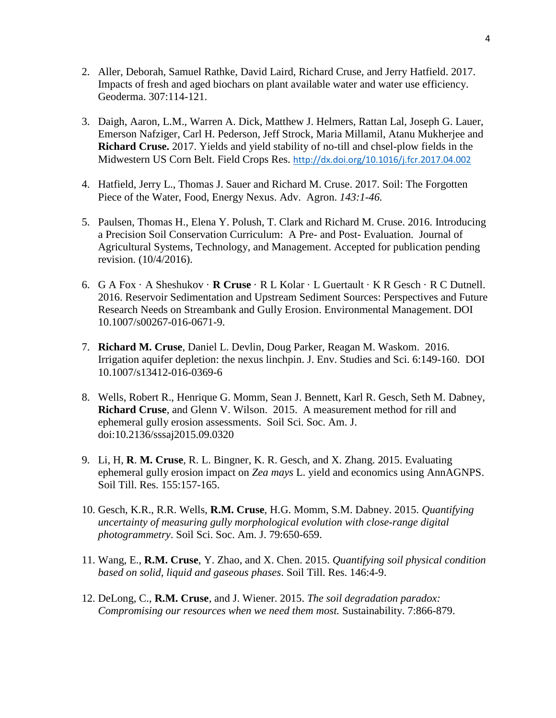- 2. Aller, Deborah, Samuel Rathke, David Laird, Richard Cruse, and Jerry Hatfield. 2017. Impacts of fresh and aged biochars on plant available water and water use efficiency. Geoderma. 307:114-121.
- 3. Daigh, Aaron, L.M., Warren A. Dick, Matthew J. Helmers, Rattan Lal, Joseph G. Lauer, Emerson Nafziger, Carl H. Pederson, Jeff Strock, Maria Millamil, Atanu Mukherjee and **Richard Cruse.** 2017. Yields and yield stability of no-till and chsel-plow fields in the Midwestern US Corn Belt. Field Crops Res. <http://dx.doi.org/10.1016/j.fcr.2017.04.002>
- 4. Hatfield, Jerry L., Thomas J. Sauer and Richard M. Cruse. 2017. Soil: The Forgotten Piece of the Water, Food, Energy Nexus. Adv. Agron. *143:1-46.*
- 5. Paulsen, Thomas H., Elena Y. Polush, T. Clark and Richard M. Cruse. 2016. Introducing a Precision Soil Conservation Curriculum: A Pre- and Post- Evaluation. Journal of Agricultural Systems, Technology, and Management. Accepted for publication pending revision. (10/4/2016).
- 6. G A Fox · A Sheshukov · **R Cruse** · R L Kolar · L Guertault · K R Gesch · R C Dutnell. 2016. Reservoir Sedimentation and Upstream Sediment Sources: Perspectives and Future Research Needs on Streambank and Gully Erosion. Environmental Management. DOI 10.1007/s00267-016-0671-9.
- 7. **Richard M. Cruse**, Daniel L. Devlin, Doug Parker, Reagan M. Waskom. 2016. Irrigation aquifer depletion: the nexus linchpin. J. Env. Studies and Sci. 6:149-160. DOI 10.1007/s13412-016-0369-6
- 8. Wells, Robert R., Henrique G. Momm, Sean J. Bennett, Karl R. Gesch, Seth M. Dabney, **Richard Cruse**, and Glenn V. Wilson. 2015. A measurement method for rill and ephemeral gully erosion assessments. Soil Sci. Soc. Am. J. doi:10.2136/sssaj2015.09.0320
- 9. Li, H, **R**. **M. Cruse**, R. L. Bingner, K. R. Gesch, and X. Zhang. 2015. Evaluating ephemeral gully erosion impact on *Zea mays* L. yield and economics using AnnAGNPS. Soil Till. Res. 155:157-165.
- 10. Gesch, K.R., R.R. Wells, **R.M. Cruse**, H.G. Momm, S.M. Dabney. 2015. *Quantifying uncertainty of measuring gully morphological evolution with close-range digital photogrammetry*. Soil Sci. Soc. Am. J. 79:650-659.
- 11. Wang, E., **R.M. Cruse**, Y. Zhao, and X. Chen. 2015. *Quantifying soil physical condition based on solid, liquid and gaseous phases*. Soil Till. Res. 146:4-9.
- 12. DeLong, C., **R.M. Cruse**, and J. Wiener. 2015. *The soil degradation paradox: Compromising our resources when we need them most.* Sustainability. 7:866-879.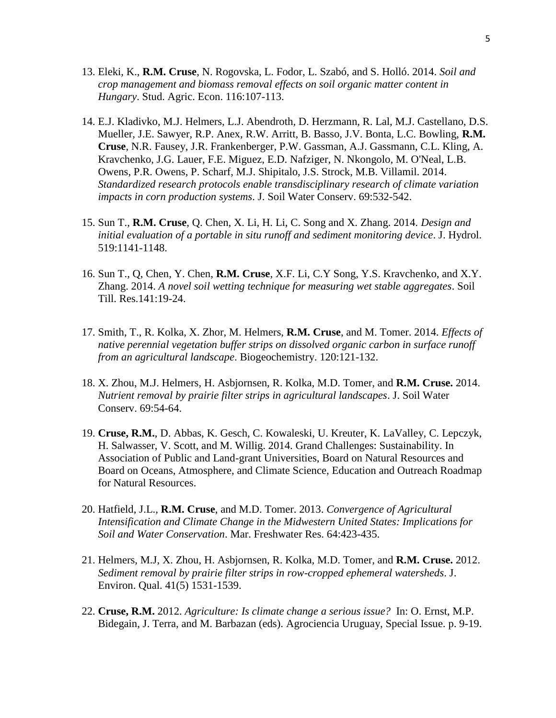- 13. Eleki, K., **R.M. Cruse**, N. Rogovska, L. Fodor, L. Szabó, and S. Holló. 2014. *Soil and crop management and biomass removal effects on soil organic matter content in Hungary*. Stud. Agric. Econ. 116:107-113.
- 14. E.J. Kladivko, M.J. Helmers, L.J. Abendroth, D. Herzmann, R. Lal, M.J. Castellano, D.S. Mueller, J.E. Sawyer, R.P. Anex, R.W. Arritt, B. Basso, J.V. Bonta, L.C. Bowling, **R.M. Cruse**, N.R. Fausey, J.R. Frankenberger, P.W. Gassman, A.J. Gassmann, C.L. Kling, A. Kravchenko, J.G. Lauer, F.E. Miguez, E.D. Nafziger, N. Nkongolo, M. O'Neal, L.B. Owens, P.R. Owens, P. Scharf, M.J. Shipitalo, J.S. Strock, M.B. Villamil. 2014. *Standardized research protocols enable transdisciplinary research of climate variation impacts in corn production systems*. J. Soil Water Conserv. 69:532-542.
- 15. Sun T., **R.M. Cruse**, Q. Chen, X. Li, H. Li, C. Song and X. Zhang. 2014. *Design and initial evaluation of a portable in situ runoff and sediment monitoring device*. J. Hydrol. 519:1141-1148.
- 16. Sun T., Q, Chen, Y. Chen, **R.M. Cruse**, X.F. Li, C.Y Song, Y.S. Kravchenko, and X.Y. Zhang. 2014. *A novel soil wetting technique for measuring wet stable aggregates*. Soil Till. Res.141:19-24.
- 17. Smith, T., R. Kolka, X. Zhor, M. Helmers, **R.M. Cruse**, and M. Tomer. 2014. *Effects of native perennial vegetation buffer strips on dissolved organic carbon in surface runoff from an agricultural landscape*. Biogeochemistry. 120:121-132.
- 18. X. Zhou, M.J. Helmers, H. Asbjornsen, R. Kolka, M.D. Tomer, and **R.M. Cruse.** 2014. *Nutrient removal by prairie filter strips in agricultural landscapes*. J. Soil Water Conserv. 69:54-64.
- 19. **Cruse, R.M.**, D. Abbas, K. Gesch, C. Kowaleski, U. Kreuter, K. LaValley, C. Lepczyk, H. Salwasser, V. Scott, and M. Willig. 2014. Grand Challenges: Sustainability. In Association of Public and Land-grant Universities, Board on Natural Resources and Board on Oceans, Atmosphere, and Climate Science, Education and Outreach Roadmap for Natural Resources.
- 20. Hatfield, J.L., **R.M. Cruse**, and M.D. Tomer. 2013. *Convergence of Agricultural Intensification and Climate Change in the Midwestern United States: Implications for Soil and Water Conservation*. Mar. Freshwater Res. 64:423-435.
- 21. Helmers, M.J, X. Zhou, H. Asbjornsen, R. Kolka, M.D. Tomer, and **R.M. Cruse.** 2012. *Sediment removal by prairie filter strips in row-cropped ephemeral watersheds*. J. Environ. Qual. 41(5) 1531-1539.
- 22. **Cruse, R.M.** 2012. *Agriculture: Is climate change a serious issue?* In: O. Ernst, M.P. Bidegain, J. Terra, and M. Barbazan (eds). Agrociencia Uruguay, Special Issue. p. 9-19.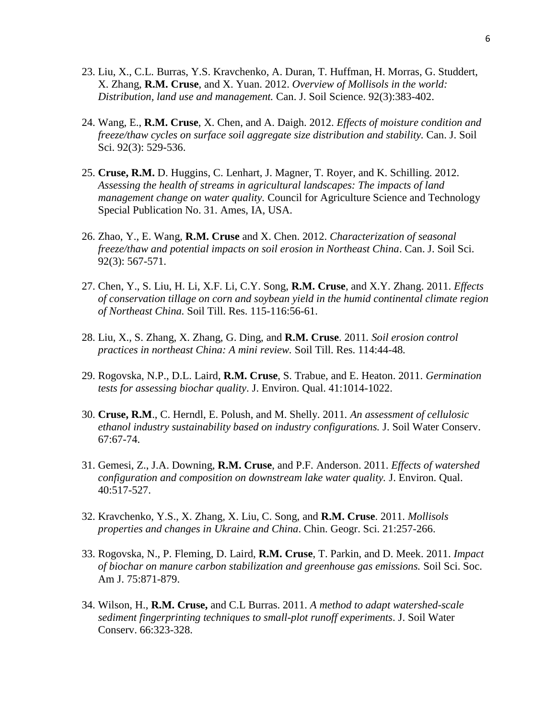- 23. Liu, X., C.L. Burras, Y.S. Kravchenko, A. Duran, T. Huffman, H. Morras, G. Studdert, X. Zhang, **R.M. Cruse**, and X. Yuan. 2012. *Overview of Mollisols in the world: Distribution, land use and management.* Can. J. Soil Science. 92(3):383-402.
- 24. Wang, E., **R.M. Cruse**, X. Chen, and A. Daigh. 2012. *Effects of moisture condition and freeze/thaw cycles on surface soil aggregate size distribution and stability.* Can. J. Soil Sci. 92(3): 529-536.
- 25. **Cruse, R.M.** D. Huggins, C. Lenhart, J. Magner, T. Royer, and K. Schilling. 2012. *Assessing the health of streams in agricultural landscapes: The impacts of land management change on water quality.* Council for Agriculture Science and Technology Special Publication No. 31. Ames, IA, USA.
- 26. Zhao, Y., E. Wang, **R.M. Cruse** and X. Chen. 2012. *Characterization of seasonal freeze/thaw and potential impacts on soil erosion in Northeast China*. Can. J. Soil Sci. 92(3): 567-571.
- 27. Chen, Y., S. Liu, H. Li, X.F. Li, C.Y. Song, **R.M. Cruse**, and X.Y. Zhang. 2011. *Effects of conservation tillage on corn and soybean yield in the humid continental climate region of Northeast China.* Soil Till. Res. 115-116:56-61.
- 28. Liu, X., S. Zhang, X. Zhang, G. Ding, and **R.M. Cruse**. 2011*. Soil erosion control practices in northeast China: A mini review.* Soil Till. Res. 114:44-48*.*
- 29. Rogovska, N.P., D.L. Laird, **R.M. Cruse**, S. Trabue, and E. Heaton. 2011. *Germination tests for assessing biochar quality*. J. Environ. Qual. 41:1014-1022.
- 30. **Cruse, R.M**., C. Herndl, E. Polush, and M. Shelly. 2011*. An assessment of cellulosic ethanol industry sustainability based on industry configurations.* J. Soil Water Conserv. 67:67-74.
- 31. Gemesi, Z., J.A. Downing, **R.M. Cruse**, and P.F. Anderson. 2011. *Effects of watershed configuration and composition on downstream lake water quality.* J. Environ. Qual. 40:517-527.
- 32. Kravchenko, Y.S., X. Zhang, X. Liu, C. Song, and **R.M. Cruse**. 2011. *Mollisols properties and changes in Ukraine and China*. Chin. Geogr. Sci. 21:257-266.
- 33. Rogovska, N., P. Fleming, D. Laird, **R.M. Cruse**, T. Parkin, and D. Meek. 2011. *Impact of biochar on manure carbon stabilization and greenhouse gas emissions.* Soil Sci. Soc. Am J. 75:871-879.
- 34. Wilson, H., **R.M. Cruse,** and C.L Burras. 2011. *A method to adapt watershed-scale sediment fingerprinting techniques to small-plot runoff experiments*. J. Soil Water Conserv. 66:323-328.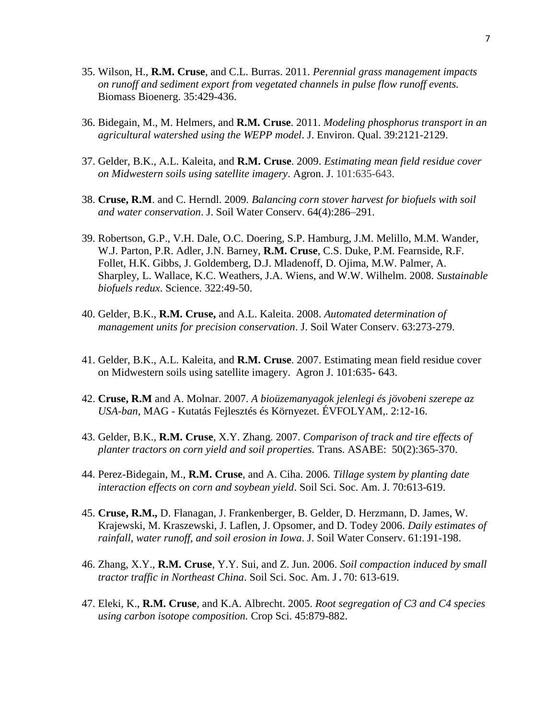- 35. Wilson, H., **R.M. Cruse**, and C.L. Burras. 2011. *Perennial grass management impacts on runoff and sediment export from vegetated channels in pulse flow runoff events.*  Biomass Bioenerg. 35:429-436.
- 36. Bidegain, M., M. Helmers, and **R.M. Cruse**. 2011. *Modeling phosphorus transport in an agricultural watershed using the WEPP model*. J. Environ. Qual. 39:2121-2129.
- 37. Gelder, B.K., A.L. Kaleita, and **R.M. Cruse**. 2009. *Estimating mean field residue cover on Midwestern soils using satellite imagery*. Agron. J. 101:635-643.
- 38. **Cruse, R.M**. and C. Herndl. 2009*. Balancing corn stover harvest for biofuels with soil and water conservation*. J. Soil Water Conserv. 64(4):286–291.
- 39. Robertson, G.P., V.H. Dale, O.C. Doering, S.P. Hamburg, J.M. Melillo, M.M. Wander, W.J. Parton, P.R. Adler, J.N. Barney, **R.M. Cruse**, C.S. Duke, P.M. Fearnside, R.F. Follet, H.K. Gibbs, J. Goldemberg, D.J. Mladenoff, D. Ojima, M.W. Palmer, A. Sharpley, L. Wallace, K.C. Weathers, J.A. Wiens, and W.W. Wilhelm. 2008. *Sustainable biofuels redux*. Science. 322:49-50.
- 40. Gelder, B.K., **R.M. Cruse,** and A.L. Kaleita. 2008. *Automated determination of management units for precision conservation*. J. Soil Water Conserv. 63:273-279.
- 41. Gelder, B.K., A.L. Kaleita, and **R.M. Cruse**. 2007. Estimating mean field residue cover on Midwestern soils using satellite imagery. Agron J. 101:635- 643.
- 42. **Cruse, R.M** and A. Molnar. 2007. *A bioüzemanyagok jelenlegi és jövobeni szerepe az USA-ban*, MAG - Kutatás Fejlesztés és Környezet. ÉVFOLYAM,. 2:12-16.
- 43. Gelder, B.K., **R.M. Cruse**, X.Y. Zhang. 2007. *Comparison of track and tire effects of planter tractors on corn yield and soil properties.* Trans. ASABE: 50(2):365-370.
- 44. Perez-Bidegain, M., **R.M. Cruse**, and A. Ciha. 2006*. Tillage system by planting date interaction effects on corn and soybean yield*. Soil Sci. Soc. Am. J. 70:613-619.
- 45. **Cruse, R.M.,** D. Flanagan, J. Frankenberger, B. Gelder, D. Herzmann, D. James, W. Krajewski, M. Kraszewski, J. Laflen, J. Opsomer, and D. Todey 2006. *Daily estimates of rainfall, water runoff, and soil erosion in Iowa*. J. Soil Water Conserv. 61:191-198.
- 46. Zhang, X.Y., **R.M. Cruse**, Y.Y. Sui, and Z. Jun. 2006. *Soil compaction induced by small tractor traffic in Northeast China*. Soil Sci. Soc. Am. J.70: 613-619.
- 47. Eleki, K., **R.M. Cruse**, and K.A. Albrecht. 2005. *Root segregation of C3 and C4 species using carbon isotope composition.* Crop Sci. 45:879-882.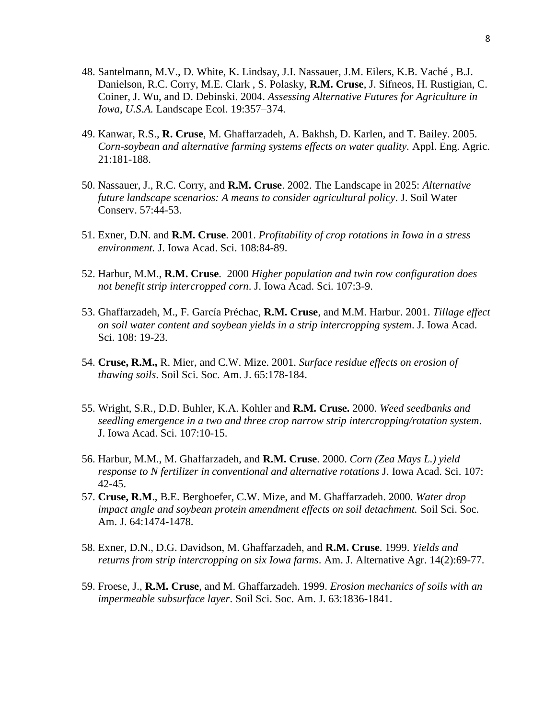- 48. Santelmann, M.V., D. White, K. Lindsay, J.I. Nassauer, J.M. Eilers, K.B. Vaché , B.J. Danielson, R.C. Corry, M.E. Clark , S. Polasky, **R.M. Cruse**, J. Sifneos, H. Rustigian, C. Coiner, J. Wu, and D. Debinski. 2004. *Assessing Alternative Futures for Agriculture in Iowa, U.S.A.* Landscape Ecol. 19:357–374.
- 49. Kanwar, R.S., **R. Cruse**, M. Ghaffarzadeh, A. Bakhsh, D. Karlen, and T. Bailey. 2005. *Corn-soybean and alternative farming systems effects on water quality.* Appl. Eng. Agric. 21:181-188.
- 50. Nassauer, J., R.C. Corry, and **R.M. Cruse**. 2002. The Landscape in 2025: *Alternative future landscape scenarios: A means to consider agricultural policy*. J. Soil Water Conserv. 57:44-53.
- 51. Exner, D.N. and **R.M. Cruse**. 2001. *Profitability of crop rotations in Iowa in a stress environment.* J. Iowa Acad. Sci. 108:84-89.
- 52. Harbur, M.M., **R.M. Cruse**. 2000 *Higher population and twin row configuration does not benefit strip intercropped corn*. J. Iowa Acad. Sci. 107:3-9.
- 53. Ghaffarzadeh, M., F. García Préchac, **R.M. Cruse**, and M.M. Harbur. 2001. *Tillage effect on soil water content and soybean yields in a strip intercropping system*. J. Iowa Acad. Sci. 108: 19-23.
- 54. **Cruse, R.M.,** R. Mier, and C.W. Mize. 2001. *Surface residue effects on erosion of thawing soils*. Soil Sci. Soc. Am. J. 65:178-184.
- 55. Wright, S.R., D.D. Buhler, K.A. Kohler and **R.M. Cruse.** 2000. *Weed seedbanks and seedling emergence in a two and three crop narrow strip intercropping/rotation system*. J. Iowa Acad. Sci. 107:10-15.
- 56. Harbur, M.M., M. Ghaffarzadeh, and **R.M. Cruse**. 2000. *Corn (Zea Mays L.) yield response to N fertilizer in conventional and alternative rotations* J. Iowa Acad. Sci. 107: 42-45.
- 57. **Cruse, R.M**., B.E. Berghoefer, C.W. Mize, and M. Ghaffarzadeh. 2000. *Water drop impact angle and soybean protein amendment effects on soil detachment.* Soil Sci. Soc. Am. J. 64:1474-1478.
- 58. Exner, D.N., D.G. Davidson, M. Ghaffarzadeh, and **R.M. Cruse**. 1999. *Yields and returns from strip intercropping on six Iowa farms*. Am. J. Alternative Agr. 14(2):69-77.
- 59. Froese, J., **R.M. Cruse**, and M. Ghaffarzadeh. 1999. *Erosion mechanics of soils with an impermeable subsurface layer*. Soil Sci. Soc. Am. J. 63:1836-1841.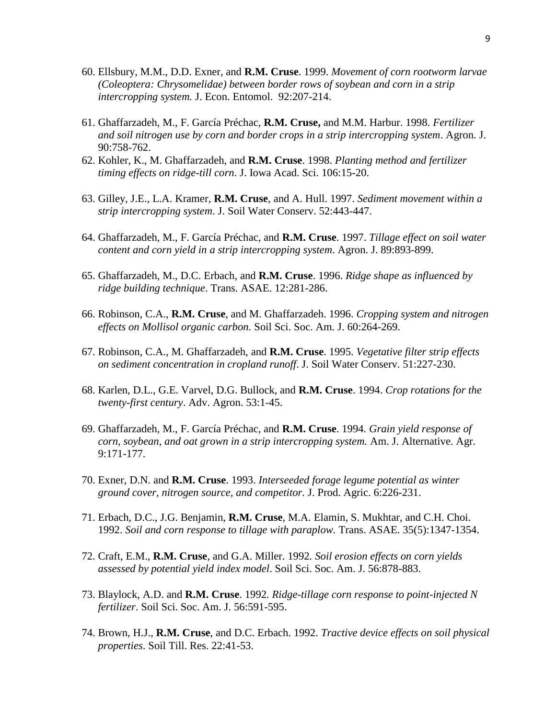- 60. Ellsbury, M.M., D.D. Exner, and **R.M. Cruse**. 1999. *Movement of corn rootworm larvae (Coleoptera: Chrysomelidae) between border rows of soybean and corn in a strip intercropping system.* J. Econ. Entomol. 92:207-214.
- 61. Ghaffarzadeh, M., F. García Préchac, **R.M. Cruse,** and M.M. Harbur. 1998. *Fertilizer and soil nitrogen use by corn and border crops in a strip intercropping system*. Agron. J. 90:758-762.
- 62. Kohler, K., M. Ghaffarzadeh, and **R.M. Cruse**. 1998. *Planting method and fertilizer timing effects on ridge-till corn*. J. Iowa Acad. Sci. 106:15-20.
- 63. Gilley, J.E., L.A. Kramer, **R.M. Cruse**, and A. Hull. 1997. *Sediment movement within a strip intercropping system*. J. Soil Water Conserv. 52:443-447.
- 64. Ghaffarzadeh, M., F. García Préchac, and **R.M. Cruse**. 1997. *Tillage effect on soil water content and corn yield in a strip intercropping system*. Agron. J. 89:893-899.
- 65. Ghaffarzadeh, M., D.C. Erbach, and **R.M. Cruse**. 1996. *Ridge shape as influenced by ridge building technique*. Trans. ASAE. 12:281-286.
- 66. Robinson, C.A., **R.M. Cruse**, and M. Ghaffarzadeh. 1996. *Cropping system and nitrogen effects on Mollisol organic carbon.* Soil Sci. Soc. Am. J. 60:264-269.
- 67. Robinson, C.A., M. Ghaffarzadeh, and **R.M. Cruse**. 1995. *Vegetative filter strip effects on sediment concentration in cropland runoff*. J. Soil Water Conserv. 51:227-230.
- 68. Karlen, D.L., G.E. Varvel, D.G. Bullock, and **R.M. Cruse**. 1994. *Crop rotations for the twenty-first century*. Adv. Agron. 53:1-45.
- 69. Ghaffarzadeh, M., F. García Préchac, and **R.M. Cruse**. 1994*. Grain yield response of corn, soybean, and oat grown in a strip intercropping system.* Am. J. Alternative. Agr. 9:171-177.
- 70. Exner, D.N. and **R.M. Cruse**. 1993. *Interseeded forage legume potential as winter ground cover, nitrogen source, and competitor.* J. Prod. Agric. 6:226-231.
- 71. Erbach, D.C., J.G. Benjamin, **R.M. Cruse**, M.A. Elamin, S. Mukhtar, and C.H. Choi. 1992. *Soil and corn response to tillage with paraplow.* Trans. ASAE. 35(5):1347-1354.
- 72. Craft, E.M., **R.M. Cruse**, and G.A. Miller. 1992*. Soil erosion effects on corn yields assessed by potential yield index model*. Soil Sci. Soc. Am. J. 56:878-883.
- 73. Blaylock, A.D. and **R.M. Cruse**. 1992. *Ridge-tillage corn response to point-injected N fertilizer*. Soil Sci. Soc. Am. J. 56:591-595.
- 74. Brown, H.J., **R.M. Cruse**, and D.C. Erbach. 1992. *Tractive device effects on soil physical properties*. Soil Till. Res. 22:41-53.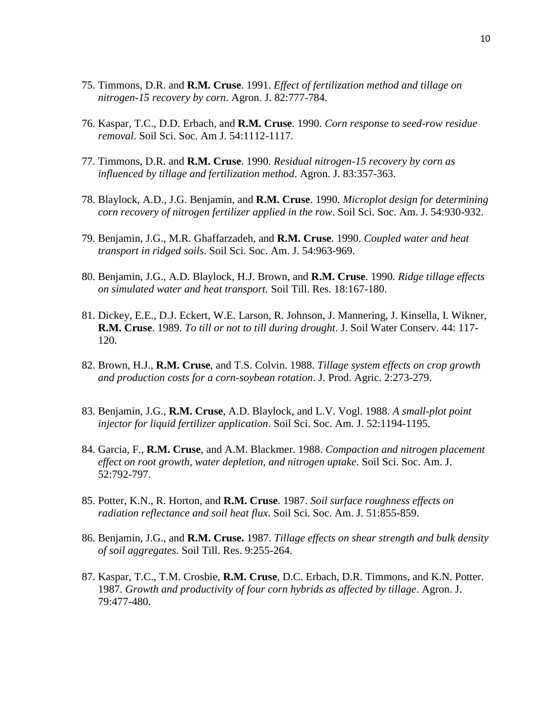- 75. Timmons, D.R. and **R.M. Cruse**. 1991. *Effect of fertilization method and tillage on nitrogen-15 recovery by corn*. Agron. J. 82:777-784.
- 76. Kaspar, T.C., D.D. Erbach, and **R.M. Cruse**. 1990. *Corn response to seed-row residue removal*. Soil Sci. Soc. Am J. 54:1112-1117.
- 77. Timmons, D.R. and **R.M. Cruse**. 1990. *Residual nitrogen-15 recovery by corn as influenced by tillage and fertilization method*. Agron. J. 83:357-363.
- 78. Blaylock, A.D., J.G. Benjamin, and **R.M. Cruse**. 1990*. Microplot design for determining corn recovery of nitrogen fertilizer applied in the row*. Soil Sci. Soc. Am. J. 54:930-932.
- 79. Benjamin, J.G., M.R. Ghaffarzadeh, and **R.M. Cruse**. 1990. *Coupled water and heat transport in ridged soils*. Soil Sci. Soc. Am. J. 54:963-969.
- 80. Benjamin, J.G., A.D. Blaylock, H.J. Brown, and **R.M. Cruse**. 1990*. Ridge tillage effects on simulated water and heat transport.* Soil Till. Res. 18:167-180.
- 81. Dickey, E.E., D.J. Eckert, W.E. Larson, R. Johnson, J. Mannering, J. Kinsella, I. Wikner, **R.M. Cruse**. 1989. *To till or not to till during drought*. J. Soil Water Conserv. 44: 117- 120.
- 82. Brown, H.J., **R.M. Cruse**, and T.S. Colvin. 1988. *Tillage system effects on crop growth and production costs for a corn-soybean rotation*. J. Prod. Agric. 2:273-279.
- 83. Benjamin, J.G., **R.M. Cruse**, A.D. Blaylock, and L.V. Vogl. 1988. *A small-plot point injector for liquid fertilizer application*. Soil Sci. Soc. Am. J. 52:1194-1195.
- 84. Garcia, F., **R.M. Cruse**, and A.M. Blackmer. 1988. *Compaction and nitrogen placement effect on root growth, water depletion, and nitrogen uptake*. Soil Sci. Soc. Am. J. 52:792-797.
- 85. Potter, K.N., R. Horton, and **R.M. Cruse**. 1987. *Soil surface roughness effects on radiation reflectance and soil heat flux*. Soil Sci. Soc. Am. J. 51:855-859.
- 86. Benjamin, J.G., and **R.M. Cruse.** 1987. *Tillage effects on shear strength and bulk density of soil aggregates*. Soil Till. Res. 9:255-264.
- 87. Kaspar, T.C., T.M. Crosbie, **R.M. Cruse**, D.C. Erbach, D.R. Timmons, and K.N. Potter. 1987. *Growth and productivity of four corn hybrids as affected by tillage*. Agron. J. 79:477-480.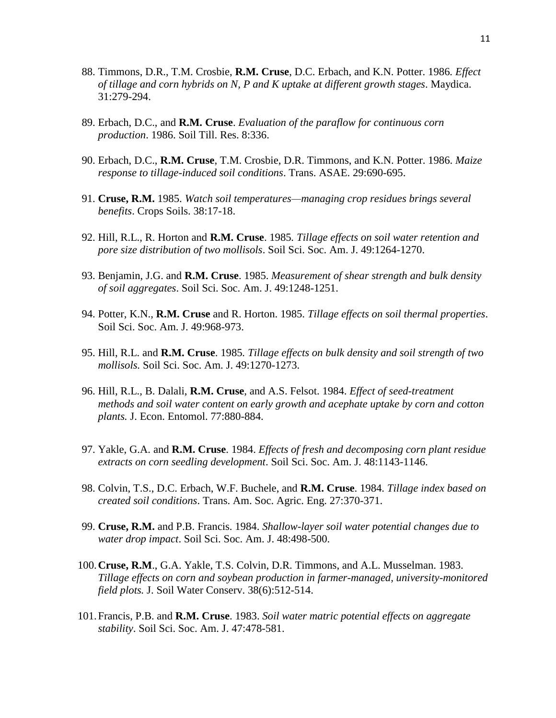- 88. Timmons, D.R., T.M. Crosbie, **R.M. Cruse**, D.C. Erbach, and K.N. Potter. 1986*. Effect of tillage and corn hybrids on N, P and K uptake at different growth stages*. Maydica. 31:279-294.
- 89. Erbach, D.C., and **R.M. Cruse**. *Evaluation of the paraflow for continuous corn production*. 1986. Soil Till. Res. 8:336.
- 90. Erbach, D.C., **R.M. Cruse**, T.M. Crosbie, D.R. Timmons, and K.N. Potter. 1986. *Maize response to tillage-induced soil conditions*. Trans. ASAE. 29:690-695.
- 91. **Cruse, R.M.** 1985. *Watch soil temperatures—managing crop residues brings several benefits*. Crops Soils. 38:17-18.
- 92. Hill, R.L., R. Horton and **R.M. Cruse**. 1985*. Tillage effects on soil water retention and pore size distribution of two mollisols*. Soil Sci. Soc. Am. J. 49:1264-1270.
- 93. Benjamin, J.G. and **R.M. Cruse**. 1985. *Measurement of shear strength and bulk density of soil aggregates*. Soil Sci. Soc. Am. J. 49:1248-1251.
- 94. Potter, K.N., **R.M. Cruse** and R. Horton. 1985. *Tillage effects on soil thermal properties*. Soil Sci. Soc. Am. J. 49:968-973.
- 95. Hill, R.L. and **R.M. Cruse**. 1985*. Tillage effects on bulk density and soil strength of two mollisols.* Soil Sci. Soc. Am. J. 49:1270-1273.
- 96. Hill, R.L., B. Dalali, **R.M. Cruse**, and A.S. Felsot. 1984. *Effect of seed-treatment methods and soil water content on early growth and acephate uptake by corn and cotton plants.* J. Econ. Entomol. 77:880-884.
- 97. Yakle, G.A. and **R.M. Cruse**. 1984. *Effects of fresh and decomposing corn plant residue extracts on corn seedling development*. Soil Sci. Soc. Am. J. 48:1143-1146.
- 98. Colvin, T.S., D.C. Erbach, W.F. Buchele, and **R.M. Cruse**. 1984. *Tillage index based on created soil conditions*. Trans. Am. Soc. Agric. Eng. 27:370-371.
- 99. **Cruse, R.M.** and P.B. Francis. 1984. *Shallow-layer soil water potential changes due to water drop impact*. Soil Sci. Soc. Am. J. 48:498-500.
- 100.**Cruse, R.M**., G.A. Yakle, T.S. Colvin, D.R. Timmons, and A.L. Musselman. 1983. *Tillage effects on corn and soybean production in farmer-managed, university-monitored field plots.* J. Soil Water Conserv. 38(6):512-514.
- 101.Francis, P.B. and **R.M. Cruse**. 1983. *Soil water matric potential effects on aggregate stability*. Soil Sci. Soc. Am. J. 47:478-581.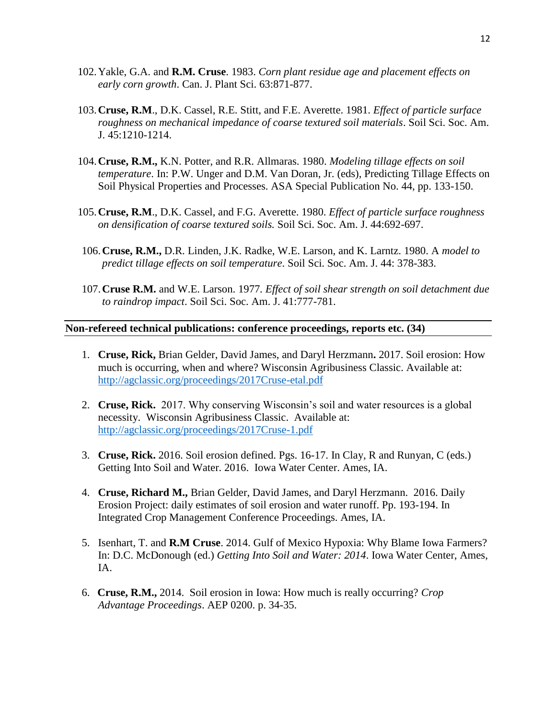- 102.Yakle, G.A. and **R.M. Cruse**. 1983. *Corn plant residue age and placement effects on early corn growth*. Can. J. Plant Sci. 63:871-877.
- 103.**Cruse, R.M**., D.K. Cassel, R.E. Stitt, and F.E. Averette. 1981. *Effect of particle surface roughness on mechanical impedance of coarse textured soil materials*. Soil Sci. Soc. Am. J. 45:1210-1214.
- 104.**Cruse, R.M.,** K.N. Potter, and R.R. Allmaras. 1980. *Modeling tillage effects on soil temperature*. In: P.W. Unger and D.M. Van Doran, Jr. (eds), Predicting Tillage Effects on Soil Physical Properties and Processes. ASA Special Publication No. 44, pp. 133-150.
- 105.**Cruse, R.M**., D.K. Cassel, and F.G. Averette. 1980. *Effect of particle surface roughness on densification of coarse textured soils.* Soil Sci. Soc. Am. J. 44:692-697.
- 106.**Cruse, R.M.,** D.R. Linden, J.K. Radke, W.E. Larson, and K. Larntz. 1980. A *model to predict tillage effects on soil temperature*. Soil Sci. Soc. Am. J. 44: 378-383.
- 107.**Cruse R.M.** and W.E. Larson. 1977*. Effect of soil shear strength on soil detachment due to raindrop impact*. Soil Sci. Soc. Am. J. 41:777-781.

#### **Non-refereed technical publications: conference proceedings, reports etc. (34)**

- 1. **Cruse, Rick,** Brian Gelder, David James, and Daryl Herzmann**.** 2017. Soil erosion: How much is occurring, when and where? Wisconsin Agribusiness Classic. Available at: <http://agclassic.org/proceedings/2017Cruse-etal.pdf>
- 2. **Cruse, Rick.** 2017. Why conserving Wisconsin's soil and water resources is a global necessity. Wisconsin Agribusiness Classic. Available at: <http://agclassic.org/proceedings/2017Cruse-1.pdf>
- 3. **Cruse, Rick.** 2016. Soil erosion defined. Pgs. 16-17. In Clay, R and Runyan, C (eds.) Getting Into Soil and Water. 2016. Iowa Water Center. Ames, IA.
- 4. **Cruse, Richard M.,** Brian Gelder, David James, and Daryl Herzmann. 2016. Daily Erosion Project: daily estimates of soil erosion and water runoff. Pp. 193-194. In Integrated Crop Management Conference Proceedings. Ames, IA.
- 5. Isenhart, T. and **R.M Cruse**. 2014. Gulf of Mexico Hypoxia: Why Blame Iowa Farmers? In: D.C. McDonough (ed.) *Getting Into Soil and Water: 2014*. Iowa Water Center, Ames, IA.
- 6. **Cruse, R.M.,** 2014. Soil erosion in Iowa: How much is really occurring? *Crop Advantage Proceedings*. AEP 0200. p. 34-35.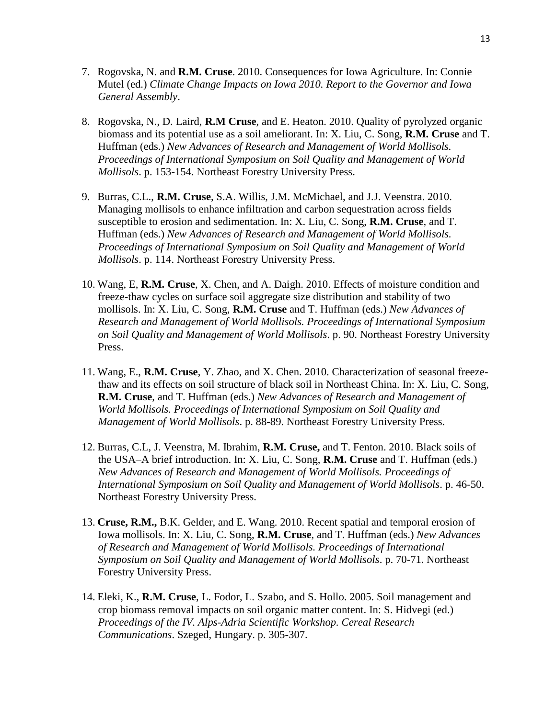- 7. Rogovska, N. and **R.M. Cruse**. 2010. Consequences for Iowa Agriculture. In: Connie Mutel (ed.) *Climate Change Impacts on Iowa 2010. Report to the Governor and Iowa General Assembly*.
- 8. Rogovska, N., D. Laird, **R.M Cruse**, and E. Heaton. 2010. Quality of pyrolyzed organic biomass and its potential use as a soil ameliorant. In: X. Liu, C. Song, **R.M. Cruse** and T. Huffman (eds.) *New Advances of Research and Management of World Mollisols. Proceedings of International Symposium on Soil Quality and Management of World Mollisols*. p. 153-154. Northeast Forestry University Press.
- 9. Burras, C.L., **R.M. Cruse**, S.A. Willis, J.M. McMichael, and J.J. Veenstra. 2010. Managing mollisols to enhance infiltration and carbon sequestration across fields susceptible to erosion and sedimentation. In: X. Liu, C. Song, **R.M. Cruse**, and T. Huffman (eds.) *New Advances of Research and Management of World Mollisols. Proceedings of International Symposium on Soil Quality and Management of World Mollisols*. p. 114. Northeast Forestry University Press.
- 10. Wang, E, **R.M. Cruse**, X. Chen, and A. Daigh. 2010. Effects of moisture condition and freeze-thaw cycles on surface soil aggregate size distribution and stability of two mollisols. In: X. Liu, C. Song, **R.M. Cruse** and T. Huffman (eds.) *New Advances of Research and Management of World Mollisols. Proceedings of International Symposium on Soil Quality and Management of World Mollisols*. p. 90. Northeast Forestry University Press.
- 11. Wang, E., **R.M. Cruse**, Y. Zhao, and X. Chen. 2010. Characterization of seasonal freezethaw and its effects on soil structure of black soil in Northeast China. In: X. Liu, C. Song, **R.M. Cruse**, and T. Huffman (eds.) *New Advances of Research and Management of World Mollisols. Proceedings of International Symposium on Soil Quality and Management of World Mollisols*. p. 88-89. Northeast Forestry University Press.
- 12. Burras, C.L, J. Veenstra, M. Ibrahim, **R.M. Cruse,** and T. Fenton. 2010. Black soils of the USA–A brief introduction. In: X. Liu, C. Song, **R.M. Cruse** and T. Huffman (eds.) *New Advances of Research and Management of World Mollisols. Proceedings of International Symposium on Soil Quality and Management of World Mollisols*. p. 46-50. Northeast Forestry University Press.
- 13. **Cruse, R.M.,** B.K. Gelder, and E. Wang. 2010. Recent spatial and temporal erosion of Iowa mollisols. In: X. Liu, C. Song, **R.M. Cruse**, and T. Huffman (eds.) *New Advances of Research and Management of World Mollisols. Proceedings of International Symposium on Soil Quality and Management of World Mollisols*. p. 70-71. Northeast Forestry University Press.
- 14. Eleki, K., **R.M. Cruse**, L. Fodor, L. Szabo, and S. Hollo. 2005. Soil management and crop biomass removal impacts on soil organic matter content. In: S. Hidvegi (ed.) *Proceedings of the IV. Alps-Adria Scientific Workshop. Cereal Research Communications*. Szeged, Hungary. p. 305-307.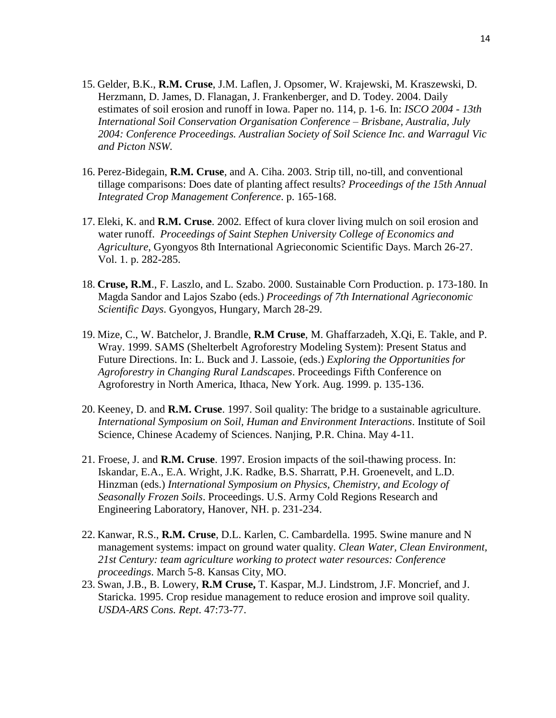- 15. Gelder, B.K., **R.M. Cruse**, J.M. Laflen, J. Opsomer, W. Krajewski, M. Kraszewski, D. Herzmann, D. James, D. Flanagan, J. Frankenberger, and D. Todey. 2004. Daily estimates of soil erosion and runoff in Iowa. Paper no. 114, p. 1-6. In: *ISCO 2004 - 13th International Soil Conservation Organisation Conference – Brisbane, Australia, July 2004: Conference Proceedings. Australian Society of Soil Science Inc. and Warragul Vic and Picton NSW.*
- 16. Perez-Bidegain, **R.M. Cruse**, and A. Ciha. 2003. Strip till, no-till, and conventional tillage comparisons: Does date of planting affect results? *Proceedings of the 15th Annual Integrated Crop Management Conference*. p. 165-168.
- 17. Eleki, K. and **R.M. Cruse**. 2002*.* Effect of kura clover living mulch on soil erosion and water runoff. *Proceedings of Saint Stephen University College of Economics and Agriculture*, Gyongyos 8th International Agrieconomic Scientific Days. March 26-27. Vol. 1. p. 282-285.
- 18. **Cruse, R.M**., F. Laszlo, and L. Szabo. 2000. Sustainable Corn Production. p. 173-180. In Magda Sandor and Lajos Szabo (eds.) *Proceedings of 7th International Agrieconomic Scientific Days*. Gyongyos, Hungary, March 28-29.
- 19. Mize, C., W. Batchelor, J. Brandle, **R.M Cruse**, M. Ghaffarzadeh, X.Qi, E. Takle, and P. Wray. 1999. SAMS (Shelterbelt Agroforestry Modeling System): Present Status and Future Directions. In: L. Buck and J. Lassoie, (eds.) *Exploring the Opportunities for Agroforestry in Changing Rural Landscapes*. Proceedings Fifth Conference on Agroforestry in North America, Ithaca, New York. Aug. 1999. p. 135-136.
- 20. Keeney, D. and **R.M. Cruse**. 1997. Soil quality: The bridge to a sustainable agriculture. *International Symposium on Soil, Human and Environment Interactions*. Institute of Soil Science, Chinese Academy of Sciences. Nanjing, P.R. China. May 4-11.
- 21. Froese, J. and **R.M. Cruse**. 1997. Erosion impacts of the soil-thawing process. In: Iskandar, E.A., E.A. Wright, J.K. Radke, B.S. Sharratt, P.H. Groenevelt, and L.D. Hinzman (eds.) *International Symposium on Physics, Chemistry, and Ecology of Seasonally Frozen Soils*. Proceedings. U.S. Army Cold Regions Research and Engineering Laboratory, Hanover, NH. p. 231-234.
- 22. Kanwar, R.S., **R.M. Cruse**, D.L. Karlen, C. Cambardella. 1995. Swine manure and N management systems: impact on ground water quality. *Clean Water, Clean Environment, 21st Century: team agriculture working to protect water resources: Conference proceedings*. March 5-8. Kansas City, MO.
- 23. Swan, J.B., B. Lowery, **R.M Cruse,** T. Kaspar, M.J. Lindstrom, J.F. Moncrief, and J. Staricka. 1995. Crop residue management to reduce erosion and improve soil quality. *USDA-ARS Cons. Rept*. 47:73-77.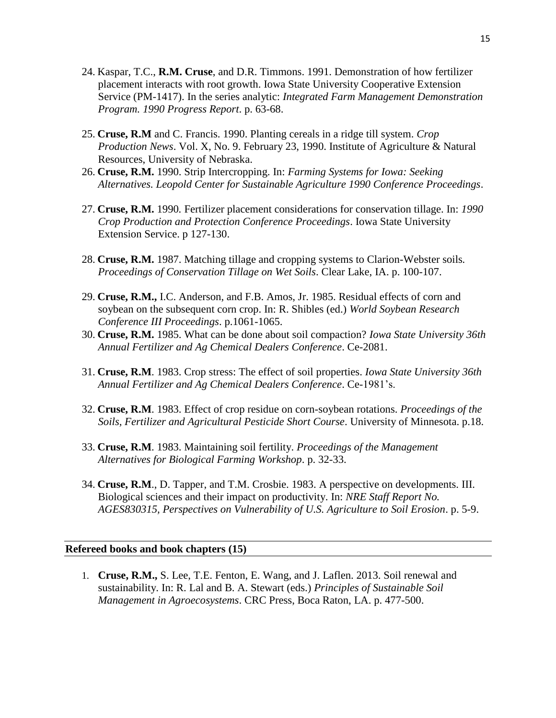- 24. Kaspar, T.C., **R.M. Cruse**, and D.R. Timmons. 1991. Demonstration of how fertilizer placement interacts with root growth. Iowa State University Cooperative Extension Service (PM-1417). In the series analytic: *Integrated Farm Management Demonstration Program. 1990 Progress Report*. p. 63-68.
- 25. **Cruse, R.M** and C. Francis. 1990. Planting cereals in a ridge till system. *Crop Production News*. Vol. X, No. 9. February 23, 1990. Institute of Agriculture & Natural Resources, University of Nebraska.
- 26. **Cruse, R.M.** 1990. Strip Intercropping. In: *Farming Systems for Iowa: Seeking Alternatives. Leopold Center for Sustainable Agriculture 1990 Conference Proceedings*.
- 27. **Cruse, R.M.** 1990*.* Fertilizer placement considerations for conservation tillage. In: *1990 Crop Production and Protection Conference Proceedings*. Iowa State University Extension Service. p 127-130.
- 28. **Cruse, R.M.** 1987. Matching tillage and cropping systems to Clarion-Webster soils*. Proceedings of Conservation Tillage on Wet Soils*. Clear Lake, IA. p. 100-107.
- 29. **Cruse, R.M.,** I.C. Anderson, and F.B. Amos, Jr. 1985. Residual effects of corn and soybean on the subsequent corn crop. In: R. Shibles (ed.) *World Soybean Research Conference III Proceedings*. p.1061-1065.
- 30. **Cruse, R.M.** 1985. What can be done about soil compaction? *Iowa State University 36th Annual Fertilizer and Ag Chemical Dealers Conference*. Ce-2081.
- 31. **Cruse, R.M**. 1983. Crop stress: The effect of soil properties. *Iowa State University 36th Annual Fertilizer and Ag Chemical Dealers Conference*. Ce-1981's.
- 32. **Cruse, R.M**. 1983. Effect of crop residue on corn-soybean rotations. *Proceedings of the Soils, Fertilizer and Agricultural Pesticide Short Course*. University of Minnesota. p.18.
- 33. **Cruse, R.M**. 1983. Maintaining soil fertility. *Proceedings of the Management Alternatives for Biological Farming Workshop*. p. 32-33.
- 34. **Cruse, R.M**., D. Tapper, and T.M. Crosbie. 1983. A perspective on developments. III. Biological sciences and their impact on productivity. In: *NRE Staff Report No. AGES830315, Perspectives on Vulnerability of U.S. Agriculture to Soil Erosion*. p. 5-9.

#### **Refereed books and book chapters (15)**

1. **Cruse, R.M.,** S. Lee, T.E. Fenton, E. Wang, and J. Laflen. 2013. Soil renewal and sustainability. In: R. Lal and B. A. Stewart (eds.) *Principles of Sustainable Soil Management in Agroecosystems*. CRC Press, Boca Raton, LA. p. 477-500.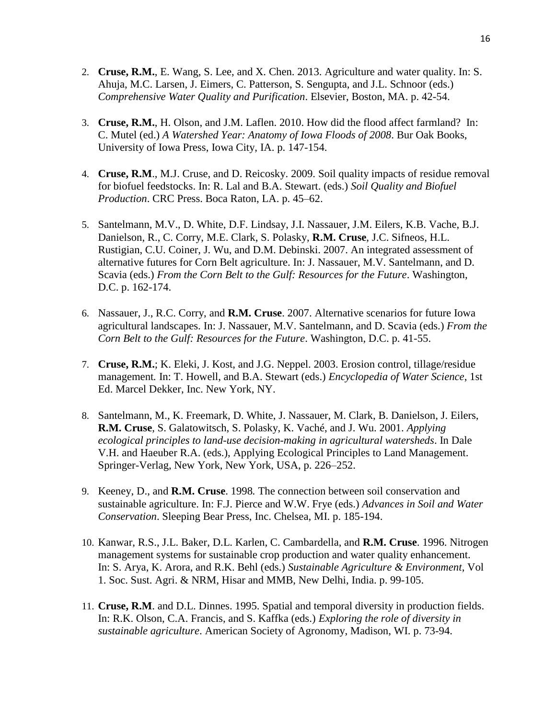- 2. **Cruse, R.M.**, E. Wang, S. Lee, and X. Chen. 2013. Agriculture and water quality. In: S. Ahuja, M.C. Larsen, J. Eimers, C. Patterson, S. Sengupta, and J.L. Schnoor (eds.) *Comprehensive Water Quality and Purification*. Elsevier, Boston, MA. p. 42-54.
- 3. **Cruse, R.M.**, H. Olson, and J.M. Laflen. 2010. How did the flood affect farmland? In: C. Mutel (ed.) *A Watershed Year: Anatomy of Iowa Floods of 2008*. Bur Oak Books, University of Iowa Press, Iowa City, IA. p. 147-154.
- 4. **Cruse, R.M**., M.J. Cruse, and D. Reicosky. 2009. Soil quality impacts of residue removal for biofuel feedstocks. In: R. Lal and B.A. Stewart. (eds.) *Soil Quality and Biofuel Production*. CRC Press. Boca Raton, LA. p. 45–62.
- 5. Santelmann, M.V., D. White, D.F. Lindsay, J.I. Nassauer, J.M. Eilers, K.B. Vache, B.J. Danielson, R., C. Corry, M.E. Clark, S. Polasky, **R.M. Cruse**, J.C. Sifneos, H.L. Rustigian, C.U. Coiner, J. Wu, and D.M. Debinski. 2007. An integrated assessment of alternative futures for Corn Belt agriculture. In: J. Nassauer, M.V. Santelmann, and D. Scavia (eds.) *From the Corn Belt to the Gulf: Resources for the Future*. Washington, D.C. p. 162-174.
- 6. Nassauer, J., R.C. Corry, and **R.M. Cruse**. 2007. Alternative scenarios for future Iowa agricultural landscapes. In: J. Nassauer, M.V. Santelmann, and D. Scavia (eds.) *From the Corn Belt to the Gulf: Resources for the Future*. Washington, D.C. p. 41-55.
- 7. **Cruse, R.M.**; K. Eleki, J. Kost, and J.G. Neppel. 2003. Erosion control, tillage/residue management*.* In: T. Howell, and B.A. Stewart (eds.) *Encyclopedia of Water Science*, 1st Ed. Marcel Dekker, Inc. New York, NY.
- 8. Santelmann, M., K. Freemark, D. White, J. Nassauer, M. Clark, B. Danielson, J. Eilers, **R.M. Cruse**, S. Galatowitsch, S. Polasky, K. Vaché, and J. Wu. 2001. *Applying ecological principles to land-use decision-making in agricultural watersheds*. In Dale V.H. and Haeuber R.A. (eds.), Applying Ecological Principles to Land Management. Springer-Verlag, New York, New York, USA, p. 226–252.
- 9. Keeney, D., and **R.M. Cruse**. 1998*.* The connection between soil conservation and sustainable agriculture. In: F.J. Pierce and W.W. Frye (eds.) *Advances in Soil and Water Conservation*. Sleeping Bear Press, Inc. Chelsea, MI. p. 185-194.
- 10. Kanwar, R.S., J.L. Baker, D.L. Karlen, C. Cambardella, and **R.M. Cruse**. 1996. Nitrogen management systems for sustainable crop production and water quality enhancement. In: S. Arya, K. Arora, and R.K. Behl (eds.) *Sustainable Agriculture & Environment*, Vol 1. Soc. Sust. Agri. & NRM, Hisar and MMB, New Delhi, India. p. 99-105.
- 11. **Cruse, R.M**. and D.L. Dinnes. 1995. Spatial and temporal diversity in production fields. In: R.K. Olson, C.A. Francis, and S. Kaffka (eds.) *Exploring the role of diversity in sustainable agriculture*. American Society of Agronomy, Madison, WI. p. 73-94.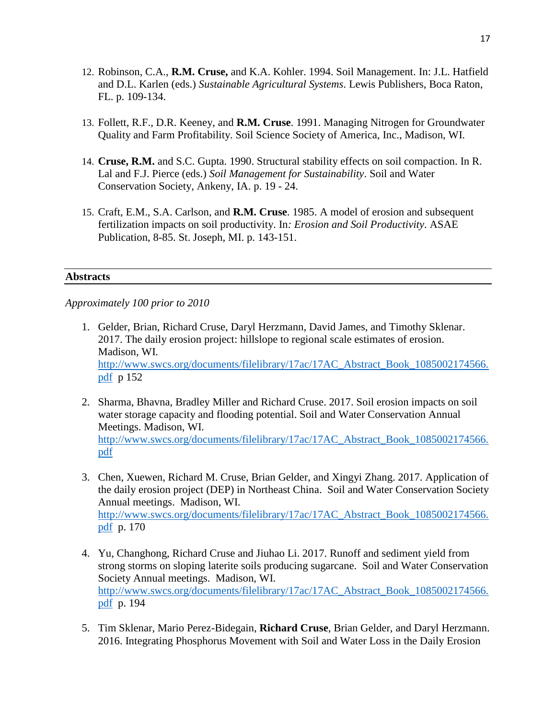- 12. Robinson, C.A., **R.M. Cruse,** and K.A. Kohler. 1994. Soil Management. In: J.L. Hatfield and D.L. Karlen (eds.) *Sustainable Agricultural Systems*. Lewis Publishers, Boca Raton, FL. p. 109-134.
- 13. Follett, R.F., D.R. Keeney, and **R.M. Cruse**. 1991. Managing Nitrogen for Groundwater Quality and Farm Profitability. Soil Science Society of America, Inc., Madison, WI.
- 14. **Cruse, R.M.** and S.C. Gupta. 1990. Structural stability effects on soil compaction. In R. Lal and F.J. Pierce (eds.) *Soil Management for Sustainability*. Soil and Water Conservation Society, Ankeny, IA. p. 19 - 24.
- 15. Craft, E.M., S.A. Carlson, and **R.M. Cruse**. 1985. A model of erosion and subsequent fertilization impacts on soil productivity. In*: Erosion and Soil Productivity*. ASAE Publication, 8-85. St. Joseph, MI. p. 143-151.

#### **Abstracts**

*Approximately 100 prior to 2010*

- 1. Gelder, Brian, Richard Cruse, Daryl Herzmann, David James, and Timothy Sklenar. 2017. The daily erosion project: hillslope to regional scale estimates of erosion. Madison, WI. [http://www.swcs.org/documents/filelibrary/17ac/17AC\\_Abstract\\_Book\\_1085002174566.](http://www.swcs.org/documents/filelibrary/17ac/17AC_Abstract_Book_1085002174566.pdf) [pdf](http://www.swcs.org/documents/filelibrary/17ac/17AC_Abstract_Book_1085002174566.pdf) p 152
- 2. Sharma, Bhavna, Bradley Miller and Richard Cruse. 2017. Soil erosion impacts on soil water storage capacity and flooding potential. Soil and Water Conservation Annual Meetings. Madison, WI. [http://www.swcs.org/documents/filelibrary/17ac/17AC\\_Abstract\\_Book\\_1085002174566.](http://www.swcs.org/documents/filelibrary/17ac/17AC_Abstract_Book_1085002174566.pdf) [pdf](http://www.swcs.org/documents/filelibrary/17ac/17AC_Abstract_Book_1085002174566.pdf)
- 3. Chen, Xuewen, Richard M. Cruse, Brian Gelder, and Xingyi Zhang. 2017. Application of the daily erosion project (DEP) in Northeast China. Soil and Water Conservation Society Annual meetings. Madison, WI. [http://www.swcs.org/documents/filelibrary/17ac/17AC\\_Abstract\\_Book\\_1085002174566.](http://www.swcs.org/documents/filelibrary/17ac/17AC_Abstract_Book_1085002174566.pdf) [pdf](http://www.swcs.org/documents/filelibrary/17ac/17AC_Abstract_Book_1085002174566.pdf) p. 170
- 4. Yu, Changhong, Richard Cruse and Jiuhao Li. 2017. Runoff and sediment yield from strong storms on sloping laterite soils producing sugarcane. Soil and Water Conservation Society Annual meetings. Madison, WI. [http://www.swcs.org/documents/filelibrary/17ac/17AC\\_Abstract\\_Book\\_1085002174566.](http://www.swcs.org/documents/filelibrary/17ac/17AC_Abstract_Book_1085002174566.pdf) [pdf](http://www.swcs.org/documents/filelibrary/17ac/17AC_Abstract_Book_1085002174566.pdf) p. 194
- 5. Tim Sklenar, Mario Perez-Bidegain, **Richard Cruse**, Brian Gelder, and Daryl Herzmann. 2016. Integrating Phosphorus Movement with Soil and Water Loss in the Daily Erosion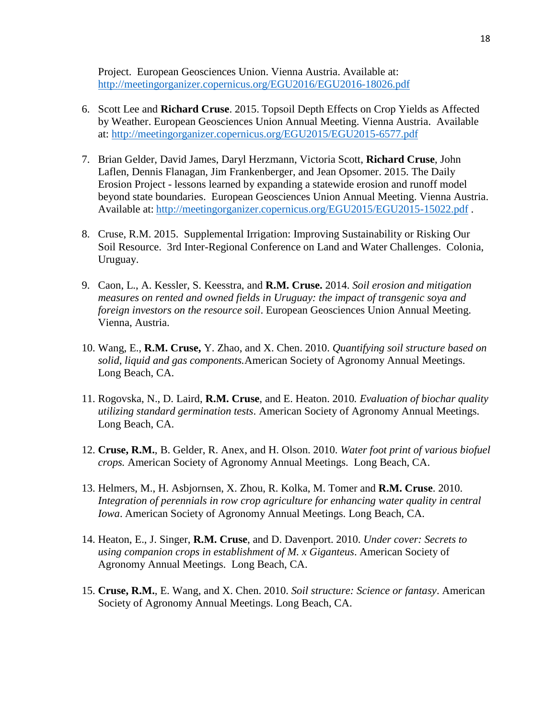Project. European Geosciences Union. Vienna Austria. Available at: <http://meetingorganizer.copernicus.org/EGU2016/EGU2016-18026.pdf>

- 6. Scott Lee and **Richard Cruse**. 2015. Topsoil Depth Effects on Crop Yields as Affected by Weather. European Geosciences Union Annual Meeting. Vienna Austria. Available at:<http://meetingorganizer.copernicus.org/EGU2015/EGU2015-6577.pdf>
- 7. Brian Gelder, David James, Daryl Herzmann, Victoria Scott, **Richard Cruse**, John Laflen, Dennis Flanagan, Jim Frankenberger, and Jean Opsomer. 2015. The Daily Erosion Project - lessons learned by expanding a statewide erosion and runoff model beyond state boundaries. European Geosciences Union Annual Meeting. Vienna Austria. Available at: <http://meetingorganizer.copernicus.org/EGU2015/EGU2015-15022.pdf>.
- 8. Cruse, R.M. 2015. Supplemental Irrigation: Improving Sustainability or Risking Our Soil Resource. 3rd Inter-Regional Conference on Land and Water Challenges. Colonia, Uruguay.
- 9. Caon, L., A. Kessler, S. Keesstra, and **R.M. Cruse.** 2014. *Soil erosion and mitigation measures on rented and owned fields in Uruguay: the impact of transgenic soya and foreign investors on the resource soil*. European Geosciences Union Annual Meeting. Vienna, Austria.
- 10. Wang, E., **R.M. Cruse,** Y. Zhao, and X. Chen. 2010. *Quantifying soil structure based on solid, liquid and gas components.*American Society of Agronomy Annual Meetings. Long Beach, CA.
- 11. Rogovska, N., D. Laird, **R.M. Cruse**, and E. Heaton. 2010*. Evaluation of biochar quality utilizing standard germination tests*. American Society of Agronomy Annual Meetings. Long Beach, CA.
- 12. **Cruse, R.M.**, B. Gelder, R. Anex, and H. Olson. 2010. *Water foot print of various biofuel crops.* American Society of Agronomy Annual Meetings. Long Beach, CA.
- 13. Helmers, M., H. Asbjornsen, X. Zhou, R. Kolka, M. Tomer and **R.M. Cruse**. 2010. *Integration of perennials in row crop agriculture for enhancing water quality in central Iowa*. American Society of Agronomy Annual Meetings. Long Beach, CA.
- 14. Heaton, E., J. Singer, **R.M. Cruse**, and D. Davenport. 2010. *Under cover: Secrets to using companion crops in establishment of M. x Giganteus*. American Society of Agronomy Annual Meetings. Long Beach, CA.
- 15. **Cruse, R.M.**, E. Wang, and X. Chen. 2010. *Soil structure: Science or fantasy*. American Society of Agronomy Annual Meetings. Long Beach, CA.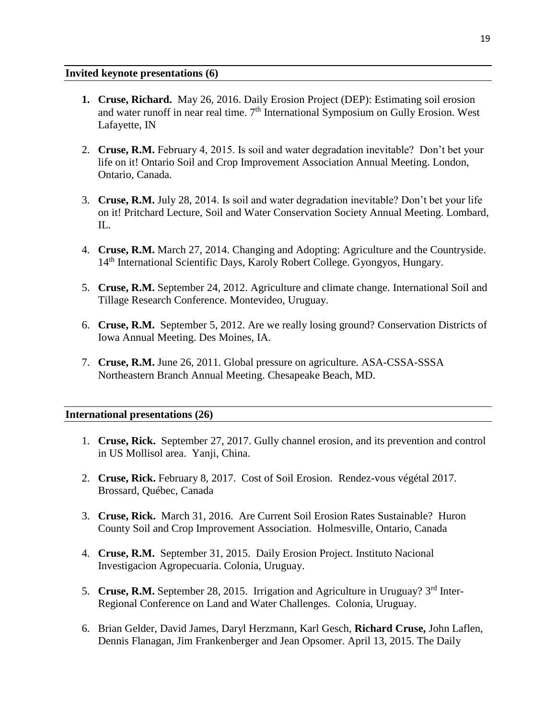#### **Invited keynote presentations (6)**

- **1. Cruse, Richard.** May 26, 2016. Daily Erosion Project (DEP): Estimating soil erosion and water runoff in near real time.  $7<sup>th</sup>$  International Symposium on Gully Erosion. West Lafayette, IN
- 2. **Cruse, R.M.** February 4, 2015. Is soil and water degradation inevitable? Don't bet your life on it! Ontario Soil and Crop Improvement Association Annual Meeting. London, Ontario, Canada.
- 3. **Cruse, R.M.** July 28, 2014. Is soil and water degradation inevitable? Don't bet your life on it! Pritchard Lecture, Soil and Water Conservation Society Annual Meeting. Lombard, IL.
- 4. **Cruse, R.M.** March 27, 2014. Changing and Adopting: Agriculture and the Countryside. 14<sup>th</sup> International Scientific Days, Karoly Robert College. Gyongyos, Hungary.
- 5. **Cruse, R.M.** September 24, 2012. Agriculture and climate change. International Soil and Tillage Research Conference. Montevideo, Uruguay.
- 6. **Cruse, R.M.** September 5, 2012. Are we really losing ground? Conservation Districts of Iowa Annual Meeting. Des Moines, IA.
- 7. **Cruse, R.M.** June 26, 2011. Global pressure on agriculture*.* ASA-CSSA-SSSA Northeastern Branch Annual Meeting. Chesapeake Beach, MD.

#### **International presentations (26)**

- 1. **Cruse, Rick.** September 27, 2017. Gully channel erosion, and its prevention and control in US Mollisol area. Yanji, China.
- 2. **Cruse, Rick.** February 8, 2017. Cost of Soil Erosion. Rendez-vous végétal 2017. Brossard, Québec, Canada
- 3. **Cruse, Rick.** March 31, 2016. Are Current Soil Erosion Rates Sustainable? Huron County Soil and Crop Improvement Association. Holmesville, Ontario, Canada
- 4. **Cruse, R.M.** September 31, 2015. Daily Erosion Project. Instituto Nacional Investigacion Agropecuaria. Colonia, Uruguay.
- 5. **Cruse, R.M.** September 28, 2015. Irrigation and Agriculture in Uruguay? 3rd Inter-Regional Conference on Land and Water Challenges. Colonia, Uruguay.
- 6. Brian Gelder, David James, Daryl Herzmann, Karl Gesch, **Richard Cruse,** John Laflen, Dennis Flanagan, Jim Frankenberger and Jean Opsomer. April 13, 2015. The Daily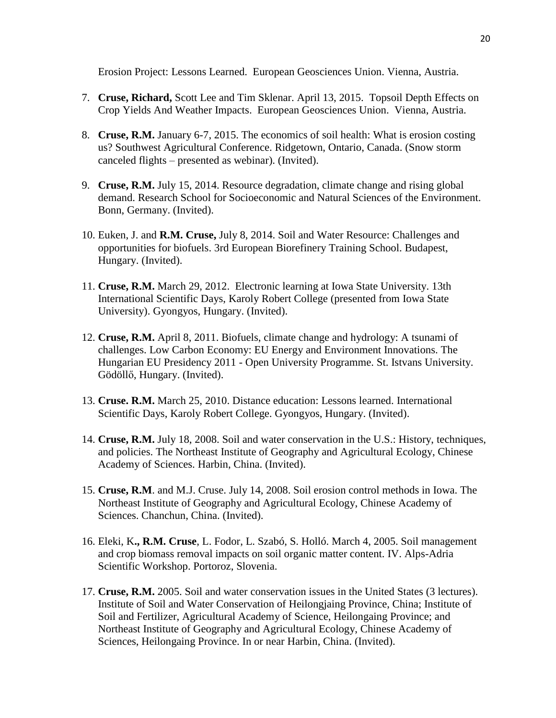Erosion Project: Lessons Learned. European Geosciences Union. Vienna, Austria.

- 7. **Cruse, Richard,** Scott Lee and Tim Sklenar. April 13, 2015. Topsoil Depth Effects on Crop Yields And Weather Impacts. European Geosciences Union. Vienna, Austria.
- 8. **Cruse, R.M.** January 6-7, 2015. The economics of soil health: What is erosion costing us? Southwest Agricultural Conference. Ridgetown, Ontario, Canada. (Snow storm canceled flights – presented as webinar). (Invited).
- 9. **Cruse, R.M.** July 15, 2014. Resource degradation, climate change and rising global demand. Research School for Socioeconomic and Natural Sciences of the Environment. Bonn, Germany. (Invited).
- 10. Euken, J. and **R.M. Cruse,** July 8, 2014. Soil and Water Resource: Challenges and opportunities for biofuels. 3rd European Biorefinery Training School. Budapest, Hungary. (Invited).
- 11. **Cruse, R.M.** March 29, 2012. Electronic learning at Iowa State University. 13th International Scientific Days, Karoly Robert College (presented from Iowa State University). Gyongyos, Hungary. (Invited).
- 12. **Cruse, R.M.** April 8, 2011. Biofuels, climate change and hydrology: A tsunami of challenges. Low Carbon Economy: EU Energy and Environment Innovations. The Hungarian EU Presidency 2011 - Open University Programme. St. Istvans University. Gödöllő, Hungary. (Invited).
- 13. **Cruse. R.M.** March 25, 2010. Distance education: Lessons learned. International Scientific Days, Karoly Robert College. Gyongyos, Hungary. (Invited).
- 14. **Cruse, R.M.** July 18, 2008. Soil and water conservation in the U.S.: History, techniques, and policies. The Northeast Institute of Geography and Agricultural Ecology, Chinese Academy of Sciences. Harbin, China. (Invited).
- 15. **Cruse, R.M**. and M.J. Cruse. July 14, 2008. Soil erosion control methods in Iowa. The Northeast Institute of Geography and Agricultural Ecology, Chinese Academy of Sciences. Chanchun, China. (Invited).
- 16. Eleki, K**., R.M. Cruse**, L. Fodor, L. Szabó, S. Holló. March 4, 2005. Soil management and crop biomass removal impacts on soil organic matter content. IV. Alps-Adria Scientific Workshop. Portoroz, Slovenia.
- 17. **Cruse, R.M.** 2005. Soil and water conservation issues in the United States (3 lectures). Institute of Soil and Water Conservation of Heilongjaing Province, China; Institute of Soil and Fertilizer, Agricultural Academy of Science, Heilongaing Province; and Northeast Institute of Geography and Agricultural Ecology, Chinese Academy of Sciences, Heilongaing Province. In or near Harbin, China. (Invited).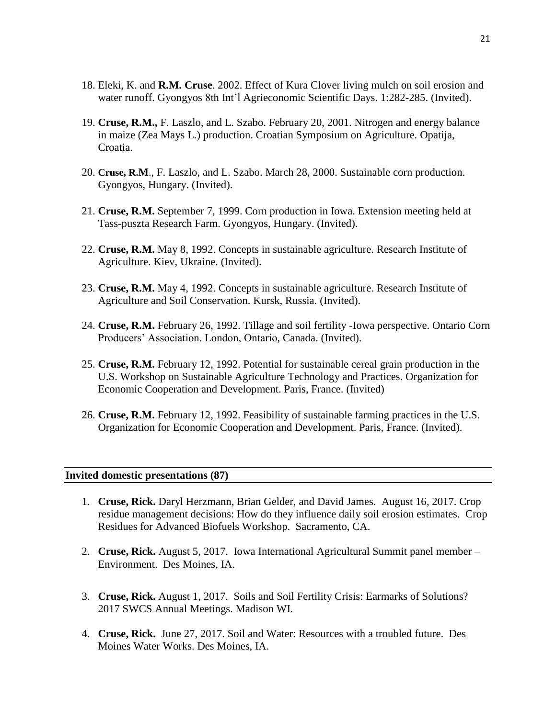- 18. Eleki, K. and **R.M. Cruse**. 2002. Effect of Kura Clover living mulch on soil erosion and water runoff. Gyongyos 8th Int'l Agrieconomic Scientific Days. 1:282-285. (Invited).
- 19. **Cruse, R.M.,** F. Laszlo, and L. Szabo. February 20, 2001. Nitrogen and energy balance in maize (Zea Mays L.) production. Croatian Symposium on Agriculture. Opatija, Croatia.
- 20. **Cruse, R.M**., F. Laszlo, and L. Szabo. March 28, 2000. Sustainable corn production. Gyongyos, Hungary. (Invited).
- 21. **Cruse, R.M.** September 7, 1999. Corn production in Iowa. Extension meeting held at Tass-puszta Research Farm. Gyongyos, Hungary. (Invited).
- 22. **Cruse, R.M.** May 8, 1992. Concepts in sustainable agriculture. Research Institute of Agriculture. Kiev, Ukraine. (Invited).
- 23. **Cruse, R.M.** May 4, 1992. Concepts in sustainable agriculture. Research Institute of Agriculture and Soil Conservation. Kursk, Russia. (Invited).
- 24. **Cruse, R.M.** February 26, 1992. Tillage and soil fertility -Iowa perspective. Ontario Corn Producers' Association. London, Ontario, Canada. (Invited).
- 25. **Cruse, R.M.** February 12, 1992. Potential for sustainable cereal grain production in the U.S. Workshop on Sustainable Agriculture Technology and Practices. Organization for Economic Cooperation and Development. Paris, France. (Invited)
- 26. **Cruse, R.M.** February 12, 1992. Feasibility of sustainable farming practices in the U.S. Organization for Economic Cooperation and Development. Paris, France. (Invited).

#### **Invited domestic presentations (87)**

- 1. **Cruse, Rick.** Daryl Herzmann, Brian Gelder, and David James. August 16, 2017. Crop residue management decisions: How do they influence daily soil erosion estimates. Crop Residues for Advanced Biofuels Workshop. Sacramento, CA.
- 2. **Cruse, Rick.** August 5, 2017. Iowa International Agricultural Summit panel member Environment. Des Moines, IA.
- 3. **Cruse, Rick.** August 1, 2017. Soils and Soil Fertility Crisis: Earmarks of Solutions? 2017 SWCS Annual Meetings. Madison WI.
- 4. **Cruse, Rick.** June 27, 2017. Soil and Water: Resources with a troubled future. Des Moines Water Works. Des Moines, IA.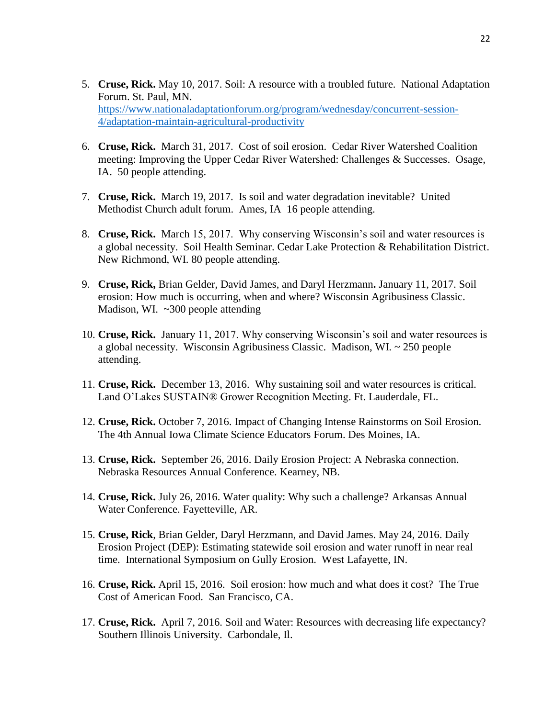- 5. **Cruse, Rick.** May 10, 2017. Soil: A resource with a troubled future. National Adaptation Forum. St. Paul, MN. [https://www.nationaladaptationforum.org/program/wednesday/concurrent-session-](https://www.nationaladaptationforum.org/program/wednesday/concurrent-session-4/adaptation-maintain-agricultural-productivity)[4/adaptation-maintain-agricultural-productivity](https://www.nationaladaptationforum.org/program/wednesday/concurrent-session-4/adaptation-maintain-agricultural-productivity)
- 6. **Cruse, Rick.** March 31, 2017. Cost of soil erosion. Cedar River Watershed Coalition meeting: Improving the Upper Cedar River Watershed: Challenges & Successes. Osage, IA. 50 people attending.
- 7. **Cruse, Rick.** March 19, 2017. Is soil and water degradation inevitable? United Methodist Church adult forum. Ames, IA 16 people attending.
- 8. **Cruse, Rick.** March 15, 2017. Why conserving Wisconsin's soil and water resources is a global necessity. Soil Health Seminar. Cedar Lake Protection & Rehabilitation District. New Richmond, WI. 80 people attending.
- 9. **Cruse, Rick,** Brian Gelder, David James, and Daryl Herzmann**.** January 11, 2017. Soil erosion: How much is occurring, when and where? Wisconsin Agribusiness Classic. Madison, WI. ~300 people attending
- 10. **Cruse, Rick.** January 11, 2017. Why conserving Wisconsin's soil and water resources is a global necessity. Wisconsin Agribusiness Classic. Madison, WI. ~ 250 people attending.
- 11. **Cruse, Rick.** December 13, 2016. Why sustaining soil and water resources is critical. Land O'Lakes SUSTAIN® Grower Recognition Meeting. Ft. Lauderdale, FL.
- 12. **Cruse, Rick.** October 7, 2016. Impact of Changing Intense Rainstorms on Soil Erosion. The 4th Annual Iowa Climate Science Educators Forum. Des Moines, IA.
- 13. **Cruse, Rick.** September 26, 2016. Daily Erosion Project: A Nebraska connection. Nebraska Resources Annual Conference. Kearney, NB.
- 14. **Cruse, Rick.** July 26, 2016. Water quality: Why such a challenge? Arkansas Annual Water Conference. Fayetteville, AR.
- 15. **Cruse, Rick**, Brian Gelder, Daryl Herzmann, and David James. May 24, 2016. Daily Erosion Project (DEP): Estimating statewide soil erosion and water runoff in near real time. International Symposium on Gully Erosion. West Lafayette, IN.
- 16. **Cruse, Rick.** April 15, 2016. Soil erosion: how much and what does it cost? The True Cost of American Food. San Francisco, CA.
- 17. **Cruse, Rick.** April 7, 2016. Soil and Water: Resources with decreasing life expectancy? Southern Illinois University. Carbondale, Il.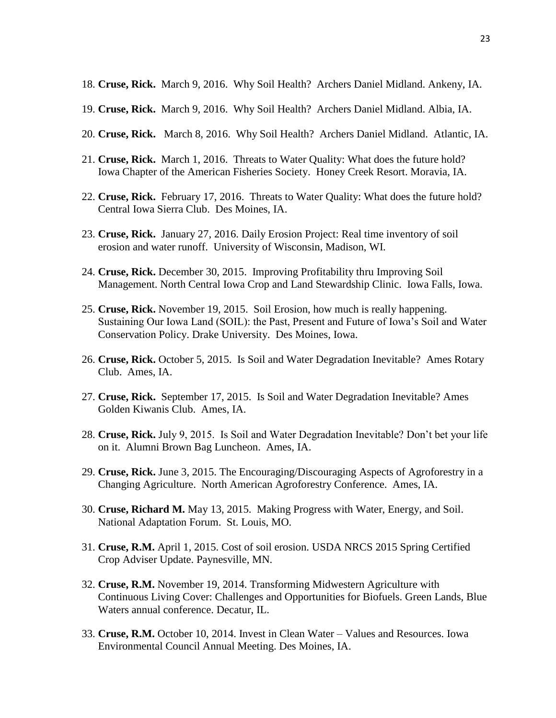- 18. **Cruse, Rick.** March 9, 2016. Why Soil Health? Archers Daniel Midland. Ankeny, IA.
- 19. **Cruse, Rick.** March 9, 2016. Why Soil Health? Archers Daniel Midland. Albia, IA.
- 20. **Cruse, Rick.** March 8, 2016. Why Soil Health? Archers Daniel Midland. Atlantic, IA.
- 21. **Cruse, Rick.** March 1, 2016. Threats to Water Quality: What does the future hold? Iowa Chapter of the American Fisheries Society.Honey Creek Resort. Moravia, IA.
- 22. **Cruse, Rick.** February 17, 2016. Threats to Water Quality: What does the future hold? Central Iowa Sierra Club. Des Moines, IA.
- 23. **Cruse, Rick.** January 27, 2016. Daily Erosion Project: Real time inventory of soil erosion and water runoff. University of Wisconsin, Madison, WI.
- 24. **Cruse, Rick.** December 30, 2015. Improving Profitability thru Improving Soil Management. North Central Iowa Crop and Land Stewardship Clinic. Iowa Falls, Iowa.
- 25. **Cruse, Rick.** November 19, 2015. Soil Erosion, how much is really happening. Sustaining Our Iowa Land (SOIL): the Past, Present and Future of Iowa's Soil and Water Conservation Policy. Drake University. Des Moines, Iowa.
- 26. **Cruse, Rick.** October 5, 2015. Is Soil and Water Degradation Inevitable? Ames Rotary Club. Ames, IA.
- 27. **Cruse, Rick.** September 17, 2015. Is Soil and Water Degradation Inevitable? Ames Golden Kiwanis Club. Ames, IA.
- 28. **Cruse, Rick.** July 9, 2015. Is Soil and Water Degradation Inevitable? Don't bet your life on it. Alumni Brown Bag Luncheon. Ames, IA.
- 29. **Cruse, Rick.** June 3, 2015. The Encouraging/Discouraging Aspects of Agroforestry in a Changing Agriculture. North American Agroforestry Conference. Ames, IA.
- 30. **Cruse, Richard M.** May 13, 2015. Making Progress with Water, Energy, and Soil. National Adaptation Forum. St. Louis, MO.
- 31. **Cruse, R.M.** April 1, 2015. Cost of soil erosion. USDA NRCS 2015 Spring Certified Crop Adviser Update. Paynesville, MN.
- 32. **Cruse, R.M.** November 19, 2014. Transforming Midwestern Agriculture with Continuous Living Cover: Challenges and Opportunities for Biofuels. Green Lands, Blue Waters annual conference. Decatur, IL.
- 33. **Cruse, R.M.** October 10, 2014. Invest in Clean Water Values and Resources. Iowa Environmental Council Annual Meeting. Des Moines, IA.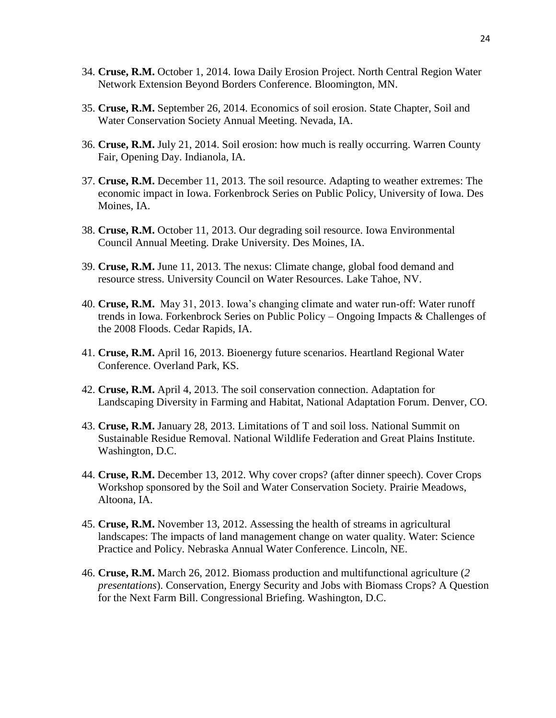- 34. **Cruse, R.M.** October 1, 2014. Iowa Daily Erosion Project. North Central Region Water Network Extension Beyond Borders Conference. Bloomington, MN.
- 35. **Cruse, R.M.** September 26, 2014. Economics of soil erosion. State Chapter, Soil and Water Conservation Society Annual Meeting. Nevada, IA.
- 36. **Cruse, R.M.** July 21, 2014. Soil erosion: how much is really occurring. Warren County Fair, Opening Day. Indianola, IA.
- 37. **Cruse, R.M.** December 11, 2013. The soil resource. Adapting to weather extremes: The economic impact in Iowa. Forkenbrock Series on Public Policy, University of Iowa. Des Moines, IA.
- 38. **Cruse, R.M.** October 11, 2013. Our degrading soil resource. Iowa Environmental Council Annual Meeting. Drake University. Des Moines, IA.
- 39. **Cruse, R.M.** June 11, 2013. The nexus: Climate change, global food demand and resource stress. University Council on Water Resources. Lake Tahoe, NV.
- 40. **Cruse, R.M.** May 31, 2013. Iowa's changing climate and water run-off: Water runoff trends in Iowa. Forkenbrock Series on Public Policy – Ongoing Impacts & Challenges of the 2008 Floods. Cedar Rapids, IA.
- 41. **Cruse, R.M.** April 16, 2013. Bioenergy future scenarios. Heartland Regional Water Conference. Overland Park, KS.
- 42. **Cruse, R.M.** April 4, 2013. The soil conservation connection. Adaptation for Landscaping Diversity in Farming and Habitat, National Adaptation Forum. Denver, CO.
- 43. **Cruse, R.M.** January 28, 2013. Limitations of T and soil loss. National Summit on Sustainable Residue Removal. National Wildlife Federation and Great Plains Institute. Washington, D.C.
- 44. **Cruse, R.M.** December 13, 2012. Why cover crops? (after dinner speech). Cover Crops Workshop sponsored by the Soil and Water Conservation Society. Prairie Meadows, Altoona, IA.
- 45. **Cruse, R.M.** November 13, 2012. Assessing the health of streams in agricultural landscapes: The impacts of land management change on water quality. Water: Science Practice and Policy. Nebraska Annual Water Conference. Lincoln, NE.
- 46. **Cruse, R.M.** March 26, 2012. Biomass production and multifunctional agriculture (*2 presentations*). Conservation, Energy Security and Jobs with Biomass Crops? A Question for the Next Farm Bill. Congressional Briefing. Washington, D.C.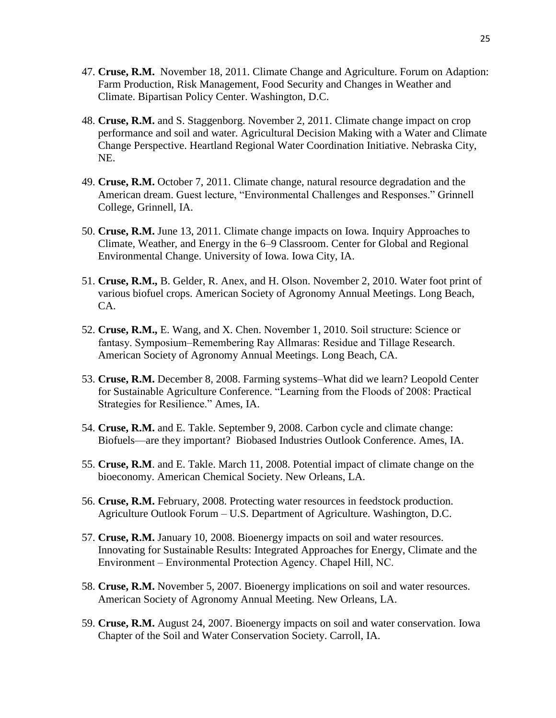- 47. **Cruse, R.M.** November 18, 2011. Climate Change and Agriculture. Forum on Adaption: Farm Production, Risk Management, Food Security and Changes in Weather and Climate. Bipartisan Policy Center. Washington, D.C.
- 48. **Cruse, R.M.** and S. Staggenborg. November 2, 2011. Climate change impact on crop performance and soil and water. Agricultural Decision Making with a Water and Climate Change Perspective. Heartland Regional Water Coordination Initiative. Nebraska City, NE.
- 49. **Cruse, R.M.** October 7, 2011. Climate change, natural resource degradation and the American dream. Guest lecture, "Environmental Challenges and Responses." Grinnell College, Grinnell, IA.
- 50. **Cruse, R.M.** June 13, 2011*.* Climate change impacts on Iowa. Inquiry Approaches to Climate, Weather, and Energy in the 6–9 Classroom. Center for Global and Regional Environmental Change. University of Iowa. Iowa City, IA.
- 51. **Cruse, R.M.,** B. Gelder, R. Anex, and H. Olson. November 2, 2010. Water foot print of various biofuel crops. American Society of Agronomy Annual Meetings. Long Beach, CA.
- 52. **Cruse, R.M.,** E. Wang, and X. Chen. November 1, 2010. Soil structure: Science or fantasy. Symposium–Remembering Ray Allmaras: Residue and Tillage Research. American Society of Agronomy Annual Meetings. Long Beach, CA.
- 53. **Cruse, R.M.** December 8, 2008. Farming systems–What did we learn? Leopold Center for Sustainable Agriculture Conference. "Learning from the Floods of 2008: Practical Strategies for Resilience." Ames, IA.
- 54. **Cruse, R.M.** and E. Takle. September 9, 2008. Carbon cycle and climate change: Biofuels—are they important? Biobased Industries Outlook Conference. Ames, IA.
- 55. **Cruse, R.M**. and E. Takle. March 11, 2008. Potential impact of climate change on the bioeconomy. American Chemical Society. New Orleans, LA.
- 56. **Cruse, R.M.** February, 2008. Protecting water resources in feedstock production. Agriculture Outlook Forum – U.S. Department of Agriculture. Washington, D.C.
- 57. **Cruse, R.M.** January 10, 2008. Bioenergy impacts on soil and water resources. Innovating for Sustainable Results: Integrated Approaches for Energy, Climate and the Environment ‒ Environmental Protection Agency. Chapel Hill, NC.
- 58. **Cruse, R.M.** November 5, 2007. Bioenergy implications on soil and water resources. American Society of Agronomy Annual Meeting. New Orleans, LA.
- 59. **Cruse, R.M.** August 24, 2007. Bioenergy impacts on soil and water conservation. Iowa Chapter of the Soil and Water Conservation Society. Carroll, IA.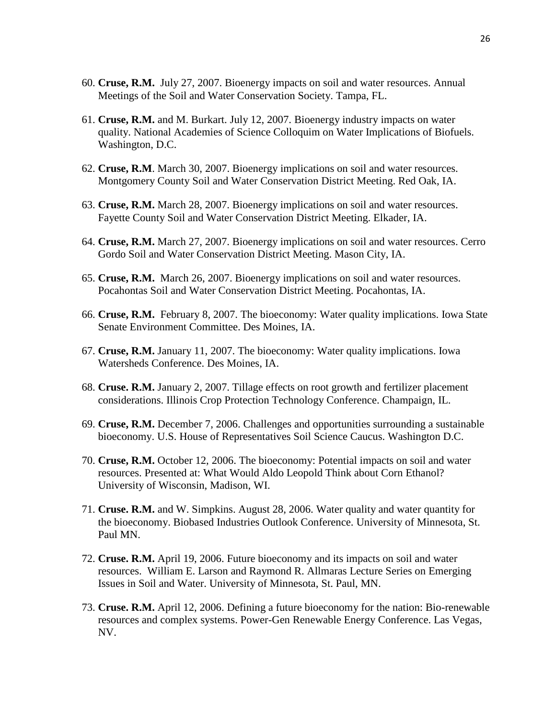- 60. **Cruse, R.M.** July 27, 2007. Bioenergy impacts on soil and water resources. Annual Meetings of the Soil and Water Conservation Society. Tampa, FL.
- 61. **Cruse, R.M.** and M. Burkart. July 12, 2007. Bioenergy industry impacts on water quality. National Academies of Science Colloquim on Water Implications of Biofuels. Washington, D.C.
- 62. **Cruse, R.M**. March 30, 2007. Bioenergy implications on soil and water resources. Montgomery County Soil and Water Conservation District Meeting. Red Oak, IA.
- 63. **Cruse, R.M.** March 28, 2007. Bioenergy implications on soil and water resources. Fayette County Soil and Water Conservation District Meeting. Elkader, IA.
- 64. **Cruse, R.M.** March 27, 2007. Bioenergy implications on soil and water resources. Cerro Gordo Soil and Water Conservation District Meeting. Mason City, IA.
- 65. **Cruse, R.M.** March 26, 2007. Bioenergy implications on soil and water resources. Pocahontas Soil and Water Conservation District Meeting. Pocahontas, IA.
- 66. **Cruse, R.M.** February 8, 2007. The bioeconomy: Water quality implications. Iowa State Senate Environment Committee. Des Moines, IA.
- 67. **Cruse, R.M.** January 11, 2007. The bioeconomy: Water quality implications. Iowa Watersheds Conference. Des Moines, IA.
- 68. **Cruse. R.M.** January 2, 2007. Tillage effects on root growth and fertilizer placement considerations. Illinois Crop Protection Technology Conference. Champaign, IL.
- 69. **Cruse, R.M.** December 7, 2006. Challenges and opportunities surrounding a sustainable bioeconomy. U.S. House of Representatives Soil Science Caucus. Washington D.C.
- 70. **Cruse, R.M.** October 12, 2006. The bioeconomy: Potential impacts on soil and water resources. Presented at: What Would Aldo Leopold Think about Corn Ethanol? University of Wisconsin, Madison, WI.
- 71. **Cruse. R.M.** and W. Simpkins. August 28, 2006. Water quality and water quantity for the bioeconomy. Biobased Industries Outlook Conference. University of Minnesota, St. Paul MN.
- 72. **Cruse. R.M.** April 19, 2006. Future bioeconomy and its impacts on soil and water resources. William E. Larson and Raymond R. Allmaras Lecture Series on Emerging Issues in Soil and Water. University of Minnesota, St. Paul, MN.
- 73. **Cruse. R.M.** April 12, 2006. Defining a future bioeconomy for the nation: Bio-renewable resources and complex systems. Power-Gen Renewable Energy Conference. Las Vegas, NV.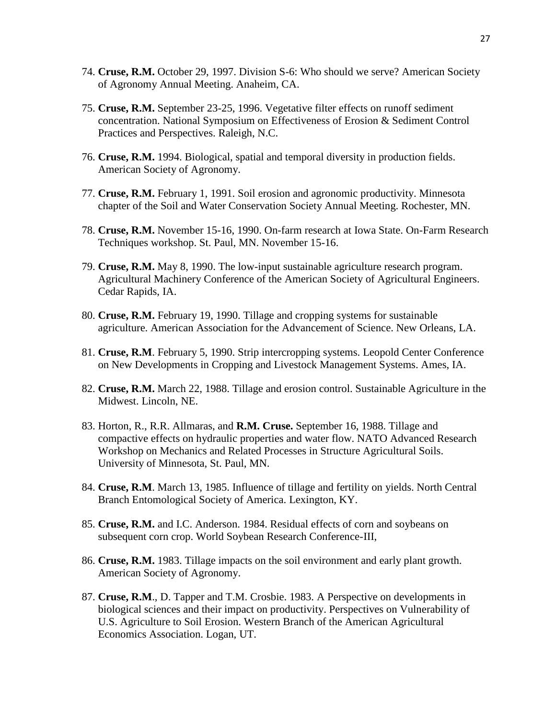- 74. **Cruse, R.M.** October 29, 1997. Division S-6: Who should we serve? American Society of Agronomy Annual Meeting. Anaheim, CA.
- 75. **Cruse, R.M.** September 23-25, 1996. Vegetative filter effects on runoff sediment concentration. National Symposium on Effectiveness of Erosion & Sediment Control Practices and Perspectives. Raleigh, N.C.
- 76. **Cruse, R.M.** 1994. Biological, spatial and temporal diversity in production fields. American Society of Agronomy.
- 77. **Cruse, R.M.** February 1, 1991. Soil erosion and agronomic productivity. Minnesota chapter of the Soil and Water Conservation Society Annual Meeting. Rochester, MN.
- 78. **Cruse, R.M.** November 15-16, 1990. On-farm research at Iowa State. On-Farm Research Techniques workshop. St. Paul, MN. November 15-16.
- 79. **Cruse, R.M.** May 8, 1990. The low-input sustainable agriculture research program. Agricultural Machinery Conference of the American Society of Agricultural Engineers. Cedar Rapids, IA.
- 80. **Cruse, R.M.** February 19, 1990. Tillage and cropping systems for sustainable agriculture. American Association for the Advancement of Science. New Orleans, LA.
- 81. **Cruse, R.M**. February 5, 1990. Strip intercropping systems. Leopold Center Conference on New Developments in Cropping and Livestock Management Systems. Ames, IA.
- 82. **Cruse, R.M.** March 22, 1988. Tillage and erosion control. Sustainable Agriculture in the Midwest. Lincoln, NE.
- 83. Horton, R., R.R. Allmaras, and **R.M. Cruse.** September 16, 1988. Tillage and compactive effects on hydraulic properties and water flow. NATO Advanced Research Workshop on Mechanics and Related Processes in Structure Agricultural Soils. University of Minnesota, St. Paul, MN.
- 84. **Cruse, R.M**. March 13, 1985. Influence of tillage and fertility on yields. North Central Branch Entomological Society of America. Lexington, KY.
- 85. **Cruse, R.M.** and I.C. Anderson. 1984. Residual effects of corn and soybeans on subsequent corn crop. World Soybean Research Conference-III,
- 86. **Cruse, R.M.** 1983. Tillage impacts on the soil environment and early plant growth. American Society of Agronomy.
- 87. **Cruse, R.M**., D. Tapper and T.M. Crosbie. 1983. A Perspective on developments in biological sciences and their impact on productivity. Perspectives on Vulnerability of U.S. Agriculture to Soil Erosion. Western Branch of the American Agricultural Economics Association. Logan, UT.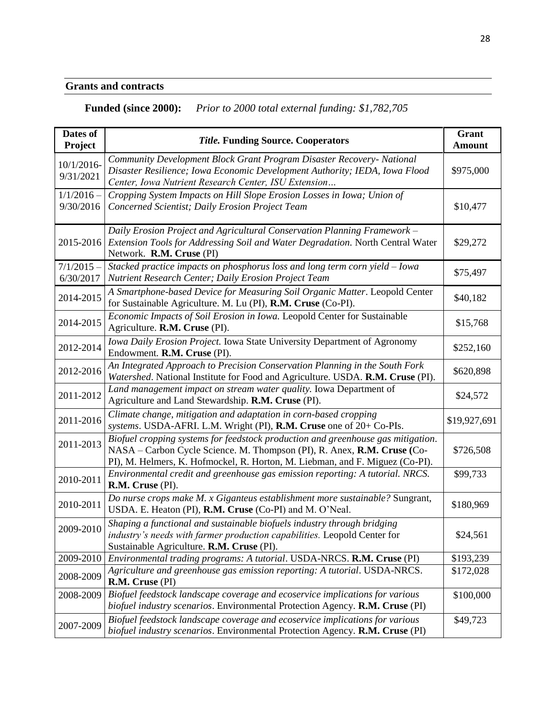# **Grants and contracts**

# **Funded (since 2000):** *Prior to 2000 total external funding: \$1,782,705*

| Dates of<br>Project       | <b>Title. Funding Source. Cooperators</b>                                                                                                                                                                                                   | Grant<br><b>Amount</b> |
|---------------------------|---------------------------------------------------------------------------------------------------------------------------------------------------------------------------------------------------------------------------------------------|------------------------|
| 10/1/2016-<br>9/31/2021   | Community Development Block Grant Program Disaster Recovery- National<br>Disaster Resilience; Iowa Economic Development Authority; IEDA, Iowa Flood<br>Center, Iowa Nutrient Research Center, ISU Extension                                 | \$975,000              |
| $1/1/2016 -$<br>9/30/2016 | Cropping System Impacts on Hill Slope Erosion Losses in Iowa; Union of<br>Concerned Scientist; Daily Erosion Project Team                                                                                                                   | \$10,477               |
| 2015-2016                 | Daily Erosion Project and Agricultural Conservation Planning Framework -<br>Extension Tools for Addressing Soil and Water Degradation. North Central Water<br>Network. R.M. Cruse (PI)                                                      | \$29,272               |
| $7/1/2015 -$<br>6/30/2017 | Stacked practice impacts on phosphorus loss and long term corn yield - Iowa<br>Nutrient Research Center; Daily Erosion Project Team                                                                                                         | \$75,497               |
| 2014-2015                 | A Smartphone-based Device for Measuring Soil Organic Matter. Leopold Center<br>for Sustainable Agriculture. M. Lu (PI), R.M. Cruse (Co-PI).                                                                                                 | \$40,182               |
| 2014-2015                 | Economic Impacts of Soil Erosion in Iowa. Leopold Center for Sustainable<br>Agriculture. R.M. Cruse (PI).                                                                                                                                   | \$15,768               |
| 2012-2014                 | Iowa Daily Erosion Project. Iowa State University Department of Agronomy<br>Endowment. R.M. Cruse (PI).                                                                                                                                     | \$252,160              |
| 2012-2016                 | An Integrated Approach to Precision Conservation Planning in the South Fork<br>Watershed. National Institute for Food and Agriculture. USDA. R.M. Cruse (PI).                                                                               | \$620,898              |
| 2011-2012                 | Land management impact on stream water quality. Iowa Department of<br>Agriculture and Land Stewardship. R.M. Cruse (PI).                                                                                                                    | \$24,572               |
| 2011-2016                 | Climate change, mitigation and adaptation in corn-based cropping<br>systems. USDA-AFRI. L.M. Wright (PI), R.M. Cruse one of 20+ Co-PIs.                                                                                                     | \$19,927,691           |
| 2011-2013                 | Biofuel cropping systems for feedstock production and greenhouse gas mitigation.<br>NASA - Carbon Cycle Science. M. Thompson (PI), R. Anex, R.M. Cruse (Co-<br>PI), M. Helmers, K. Hofmockel, R. Horton, M. Liebman, and F. Miguez (Co-PI). | \$726,508              |
| 2010-2011                 | Environmental credit and greenhouse gas emission reporting: A tutorial. NRCS.<br>R.M. Cruse (PI).                                                                                                                                           | \$99,733               |
| 2010-2011                 | Do nurse crops make M. x Giganteus establishment more sustainable? Sungrant,<br>USDA. E. Heaton (PI), R.M. Cruse (Co-PI) and M. O'Neal.                                                                                                     | \$180,969              |
| 2009-2010                 | Shaping a functional and sustainable biofuels industry through bridging<br>industry's needs with farmer production capabilities. Leopold Center for<br>Sustainable Agriculture. R.M. Cruse (PI).                                            | \$24,561               |
| 2009-2010                 | Environmental trading programs: A tutorial. USDA-NRCS. R.M. Cruse (PI)                                                                                                                                                                      | \$193,239              |
| 2008-2009                 | Agriculture and greenhouse gas emission reporting: A tutorial. USDA-NRCS.<br>R.M. Cruse (PI)                                                                                                                                                | \$172,028              |
| 2008-2009                 | Biofuel feedstock landscape coverage and ecoservice implications for various<br>biofuel industry scenarios. Environmental Protection Agency. R.M. Cruse (PI)                                                                                | \$100,000              |
| 2007-2009                 | Biofuel feedstock landscape coverage and ecoservice implications for various<br>biofuel industry scenarios. Environmental Protection Agency. R.M. Cruse (PI)                                                                                | \$49,723               |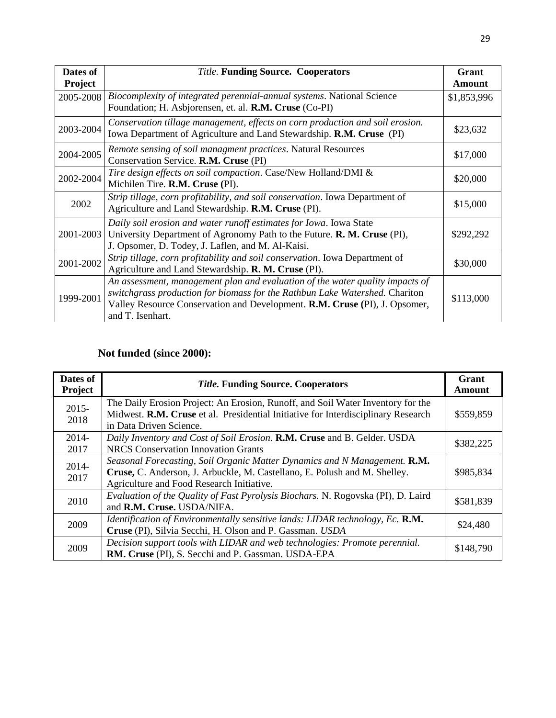| Dates of       | <b>Title. Funding Source. Cooperators</b>                                                                                                                                                                                                                      | Grant       |
|----------------|----------------------------------------------------------------------------------------------------------------------------------------------------------------------------------------------------------------------------------------------------------------|-------------|
| <b>Project</b> |                                                                                                                                                                                                                                                                | Amount      |
| 2005-2008      | Biocomplexity of integrated perennial-annual systems. National Science<br>Foundation; H. Asbjorensen, et. al. R.M. Cruse (Co-PI)                                                                                                                               | \$1,853,996 |
| 2003-2004      | Conservation tillage management, effects on corn production and soil erosion.<br>Iowa Department of Agriculture and Land Stewardship. R.M. Cruse (PI)                                                                                                          | \$23,632    |
| 2004-2005      | Remote sensing of soil managment practices. Natural Resources<br>Conservation Service. R.M. Cruse (PI)                                                                                                                                                         | \$17,000    |
| 2002-2004      | Tire design effects on soil compaction. Case/New Holland/DMI &<br>Michilen Tire. R.M. Cruse (PI).                                                                                                                                                              | \$20,000    |
| 2002           | Strip tillage, corn profitability, and soil conservation. Iowa Department of<br>Agriculture and Land Stewardship. R.M. Cruse (PI).                                                                                                                             | \$15,000    |
| 2001-2003      | Daily soil erosion and water runoff estimates for Iowa. Iowa State<br>University Department of Agronomy Path to the Future. R. M. Cruse (PI),<br>J. Opsomer, D. Todey, J. Laflen, and M. Al-Kaisi.                                                             | \$292,292   |
| 2001-2002      | Strip tillage, corn profitability and soil conservation. Iowa Department of<br>Agriculture and Land Stewardship. <b>R. M. Cruse</b> (PI).                                                                                                                      | \$30,000    |
| 1999-2001      | An assessment, management plan and evaluation of the water quality impacts of<br>switchgrass production for biomass for the Rathbun Lake Watershed. Chariton<br>Valley Resource Conservation and Development. R.M. Cruse (PI), J. Opsomer,<br>and T. Isenhart. | \$113,000   |

## **Not funded (since 2000):**

| Dates of<br><b>Project</b> | <b>Title. Funding Source. Cooperators</b>                                                                                                                                                           | Grant<br><b>Amount</b> |
|----------------------------|-----------------------------------------------------------------------------------------------------------------------------------------------------------------------------------------------------|------------------------|
| $2015 -$<br>2018           | The Daily Erosion Project: An Erosion, Runoff, and Soil Water Inventory for the<br>Midwest. R.M. Cruse et al. Presidential Initiative for Interdisciplinary Research<br>in Data Driven Science.     | \$559,859              |
| $2014-$<br>2017            | Daily Inventory and Cost of Soil Erosion. R.M. Cruse and B. Gelder. USDA<br><b>NRCS</b> Conservation Innovation Grants                                                                              | \$382,225              |
| 2014-<br>2017              | Seasonal Forecasting, Soil Organic Matter Dynamics and N Management. R.M.<br>Cruse, C. Anderson, J. Arbuckle, M. Castellano, E. Polush and M. Shelley.<br>Agriculture and Food Research Initiative. | \$985,834              |
| 2010                       | Evaluation of the Quality of Fast Pyrolysis Biochars. N. Rogovska (PI), D. Laird<br>and R.M. Cruse. USDA/NIFA.                                                                                      | \$581,839              |
| 2009                       | Identification of Environmentally sensitive lands: LIDAR technology, Ec. R.M.<br>Cruse (PI), Silvia Secchi, H. Olson and P. Gassman. USDA                                                           | \$24,480               |
| 2009                       | Decision support tools with LIDAR and web technologies: Promote perennial.<br>RM. Cruse (PI), S. Secchi and P. Gassman. USDA-EPA                                                                    | \$148,790              |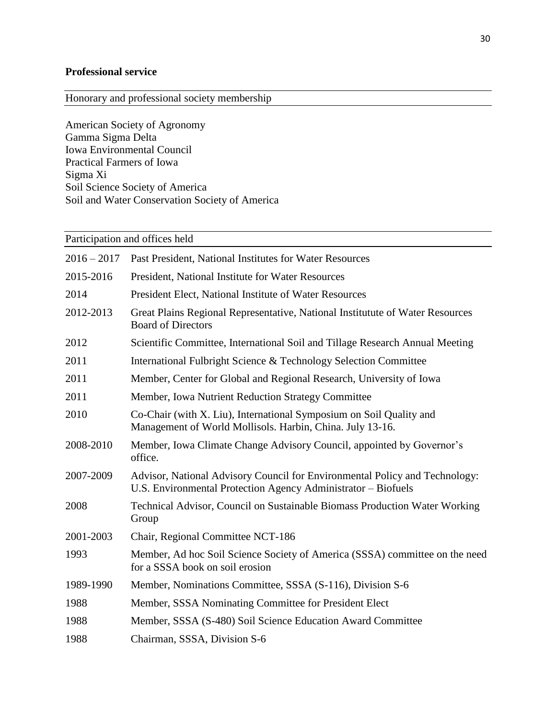## **Professional service**

Honorary and professional society membership

American Society of Agronomy Gamma Sigma Delta Iowa Environmental Council Practical Farmers of Iowa Sigma Xi Soil Science Society of America Soil and Water Conservation Society of America

| Participation and offices held |                                                                                                                                              |  |
|--------------------------------|----------------------------------------------------------------------------------------------------------------------------------------------|--|
| $2016 - 2017$                  | Past President, National Institutes for Water Resources                                                                                      |  |
| 2015-2016                      | President, National Institute for Water Resources                                                                                            |  |
| 2014                           | President Elect, National Institute of Water Resources                                                                                       |  |
| 2012-2013                      | Great Plains Regional Representative, National Institutute of Water Resources<br><b>Board of Directors</b>                                   |  |
| 2012                           | Scientific Committee, International Soil and Tillage Research Annual Meeting                                                                 |  |
| 2011                           | International Fulbright Science & Technology Selection Committee                                                                             |  |
| 2011                           | Member, Center for Global and Regional Research, University of Iowa                                                                          |  |
| 2011                           | Member, Iowa Nutrient Reduction Strategy Committee                                                                                           |  |
| 2010                           | Co-Chair (with X. Liu), International Symposium on Soil Quality and<br>Management of World Mollisols. Harbin, China. July 13-16.             |  |
| 2008-2010                      | Member, Iowa Climate Change Advisory Council, appointed by Governor's<br>office.                                                             |  |
| 2007-2009                      | Advisor, National Advisory Council for Environmental Policy and Technology:<br>U.S. Environmental Protection Agency Administrator - Biofuels |  |
| 2008                           | Technical Advisor, Council on Sustainable Biomass Production Water Working<br>Group                                                          |  |
| 2001-2003                      | Chair, Regional Committee NCT-186                                                                                                            |  |
| 1993                           | Member, Ad hoc Soil Science Society of America (SSSA) committee on the need<br>for a SSSA book on soil erosion                               |  |
| 1989-1990                      | Member, Nominations Committee, SSSA (S-116), Division S-6                                                                                    |  |
| 1988                           | Member, SSSA Nominating Committee for President Elect                                                                                        |  |
| 1988                           | Member, SSSA (S-480) Soil Science Education Award Committee                                                                                  |  |
| 1988                           | Chairman, SSSA, Division S-6                                                                                                                 |  |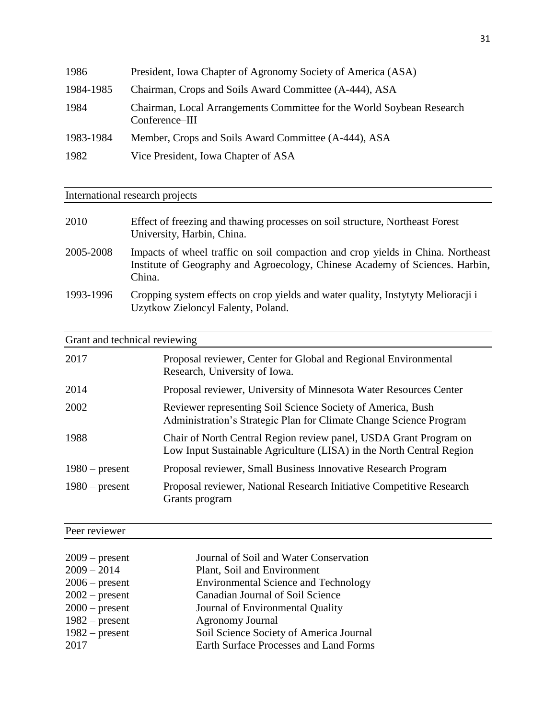| 1986      | President, Iowa Chapter of Agronomy Society of America (ASA)                            |
|-----------|-----------------------------------------------------------------------------------------|
| 1984-1985 | Chairman, Crops and Soils Award Committee (A-444), ASA                                  |
| 1984      | Chairman, Local Arrangements Committee for the World Soybean Research<br>Conference-III |
| 1983-1984 | Member, Crops and Soils Award Committee (A-444), ASA                                    |
| 1982      | Vice President, Iowa Chapter of ASA                                                     |

International research projects

| 2010      | Effect of freezing and thawing processes on soil structure, Northeast Forest<br>University, Harbin, China.                                                                |
|-----------|---------------------------------------------------------------------------------------------------------------------------------------------------------------------------|
| 2005-2008 | Impacts of wheel traffic on soil compaction and crop yields in China. Northeast<br>Institute of Geography and Agroecology, Chinese Academy of Sciences. Harbin,<br>China. |
| 1993-1996 | Cropping system effects on crop yields and water quality, Instytyty Melioracji i<br>Uzytkow Zieloncyl Falenty, Poland.                                                    |

# Grant and technical reviewing

| 2017             | Proposal reviewer, Center for Global and Regional Environmental<br>Research, University of Iowa.                                          |
|------------------|-------------------------------------------------------------------------------------------------------------------------------------------|
| 2014             | Proposal reviewer, University of Minnesota Water Resources Center                                                                         |
| 2002             | Reviewer representing Soil Science Society of America, Bush<br>Administration's Strategic Plan for Climate Change Science Program         |
| 1988             | Chair of North Central Region review panel, USDA Grant Program on<br>Low Input Sustainable Agriculture (LISA) in the North Central Region |
| $1980$ – present | Proposal reviewer, Small Business Innovative Research Program                                                                             |
| $1980$ – present | Proposal reviewer, National Research Initiative Competitive Research<br>Grants program                                                    |

# Peer reviewer

| $2009$ – present | Journal of Soil and Water Conservation      |
|------------------|---------------------------------------------|
| $2009 - 2014$    | Plant, Soil and Environment                 |
| $2006$ – present | <b>Environmental Science and Technology</b> |
| $2002$ – present | Canadian Journal of Soil Science            |
| $2000$ – present | Journal of Environmental Quality            |
| $1982$ – present | <b>Agronomy Journal</b>                     |
| $1982$ – present | Soil Science Society of America Journal     |
| 2017             | Earth Surface Processes and Land Forms      |

L.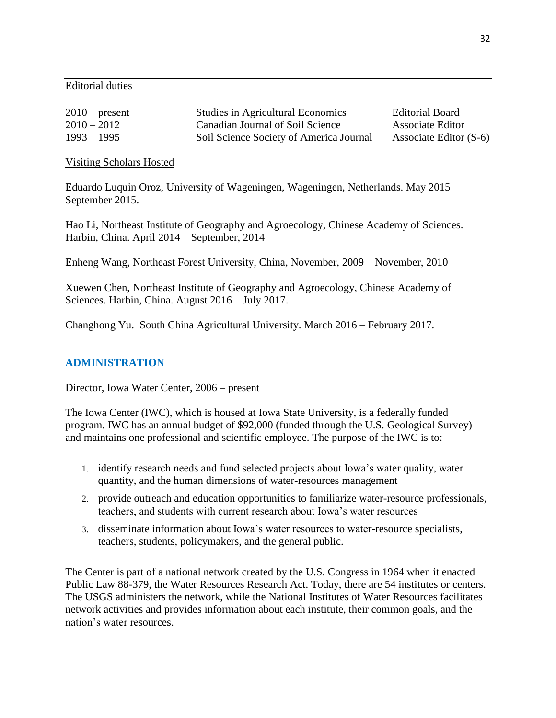Editorial duties

| $2010$ – present | <b>Studies in Agricultural Economics</b> | <b>Editorial Board</b>   |
|------------------|------------------------------------------|--------------------------|
| $2010 - 2012$    | Canadian Journal of Soil Science         | <b>Associate Editor</b>  |
| $1993 - 1995$    | Soil Science Society of America Journal  | Associate Editor $(S-6)$ |

Visiting Scholars Hosted

Eduardo Luquin Oroz, University of Wageningen, Wageningen, Netherlands. May 2015 – September 2015.

Hao Li, Northeast Institute of Geography and Agroecology, Chinese Academy of Sciences. Harbin, China. April 2014 – September, 2014

Enheng Wang, Northeast Forest University, China, November, 2009 – November, 2010

Xuewen Chen, Northeast Institute of Geography and Agroecology, Chinese Academy of Sciences. Harbin, China. August 2016 – July 2017.

Changhong Yu. South China Agricultural University. March 2016 – February 2017.

### **ADMINISTRATION**

Director, Iowa Water Center, 2006 – present

The Iowa Center (IWC), which is housed at Iowa State University, is a federally funded program. IWC has an annual budget of \$92,000 (funded through the U.S. Geological Survey) and maintains one professional and scientific employee. The purpose of the IWC is to:

- 1. identify research needs and fund selected projects about Iowa's water quality, water quantity, and the human dimensions of water-resources management
- 2. provide outreach and education opportunities to familiarize water-resource professionals, teachers, and students with current research about Iowa's water resources
- 3. disseminate information about Iowa's water resources to water-resource specialists, teachers, students, policymakers, and the general public.

The Center is part of a national network created by the U.S. Congress in 1964 when it enacted Public Law 88-379, the Water Resources Research Act. Today, there are 54 institutes or centers. The USGS administers the network, while the National Institutes of Water Resources facilitates network activities and provides information about each institute, their common goals, and the nation's water resources.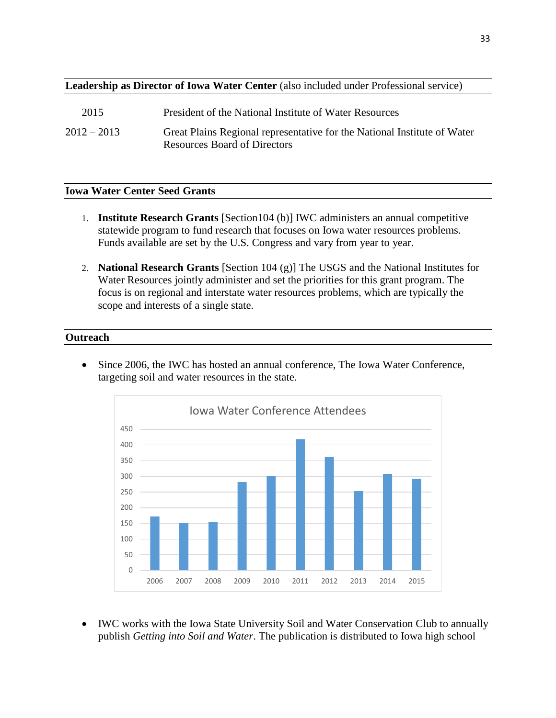#### **Leadership as Director of Iowa Water Center** (also included under Professional service)

| 2015          | President of the National Institute of Water Resources                                                          |
|---------------|-----------------------------------------------------------------------------------------------------------------|
| $2012 - 2013$ | Great Plains Regional representative for the National Institute of Water<br><b>Resources Board of Directors</b> |

### **Iowa Water Center Seed Grants**

- 1. **Institute Research Grants** [Section104 (b)] IWC administers an annual competitive statewide program to fund research that focuses on Iowa water resources problems. Funds available are set by the U.S. Congress and vary from year to year.
- 2. **National Research Grants** [Section 104 (g)] The USGS and the National Institutes for Water Resources jointly administer and set the priorities for this grant program. The focus is on regional and interstate water resources problems, which are typically the scope and interests of a single state.

#### **Outreach**

• Since 2006, the IWC has hosted an annual conference, The Iowa Water Conference, targeting soil and water resources in the state.



• IWC works with the Iowa State University Soil and Water Conservation Club to annually publish *Getting into Soil and Water*. The publication is distributed to Iowa high school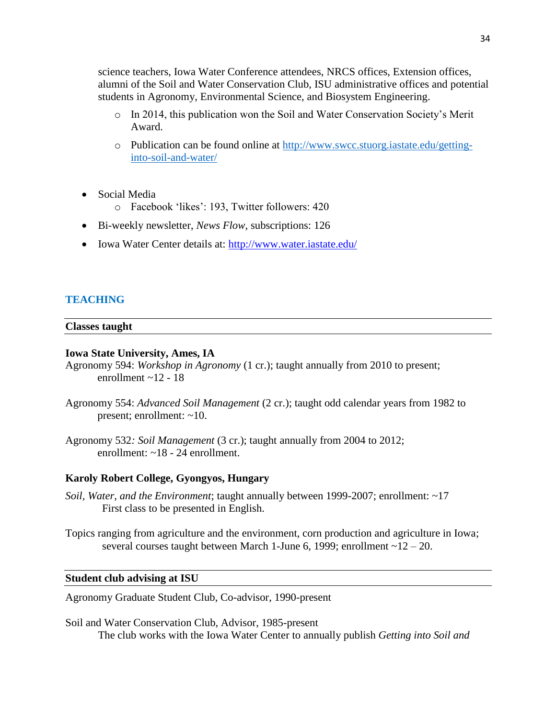science teachers, Iowa Water Conference attendees, NRCS offices, Extension offices, alumni of the Soil and Water Conservation Club, ISU administrative offices and potential students in Agronomy, Environmental Science, and Biosystem Engineering.

- o In 2014, this publication won the Soil and Water Conservation Society's Merit Award.
- o Publication can be found online at [http://www.swcc.stuorg.iastate.edu/getting](http://www.swcc.stuorg.iastate.edu/getting-into-soil-and-water/)[into-soil-and-water/](http://www.swcc.stuorg.iastate.edu/getting-into-soil-and-water/)
- Social Media
	- o Facebook 'likes': 193, Twitter followers: 420
- Bi-weekly newsletter, *News Flow*, subscriptions: 126
- Iowa Water Center details at:<http://www.water.iastate.edu/>

### **TEACHING**

#### **Classes taught**

#### **Iowa State University, Ames, IA**

Agronomy 594: *Workshop in Agronomy* (1 cr.); taught annually from 2010 to present; enrollment  $\sim$ 12 - 18

- Agronomy 554: *Advanced Soil Management* (2 cr.); taught odd calendar years from 1982 to present; enrollment: ~10.
- Agronomy 532*: Soil Management* (3 cr.); taught annually from 2004 to 2012; enrollment: ~18 - 24 enrollment.

#### **Karoly Robert College, Gyongyos, Hungary**

*Soil, Water, and the Environment*; taught annually between 1999-2007; enrollment: ~17 First class to be presented in English.

Topics ranging from agriculture and the environment, corn production and agriculture in Iowa; several courses taught between March 1-June 6, 1999; enrollment  $\sim$  12 – 20.

#### **Student club advising at ISU**

Agronomy Graduate Student Club, Co-advisor, 1990-present

Soil and Water Conservation Club, Advisor, 1985-present The club works with the Iowa Water Center to annually publish *Getting into Soil and*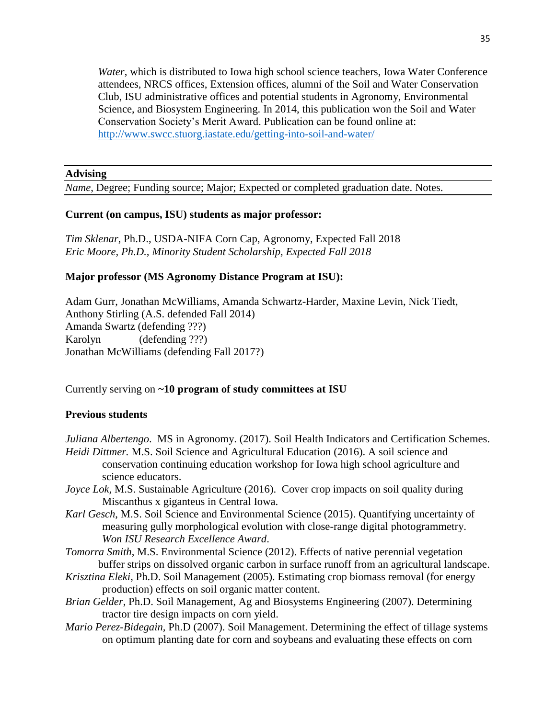*Water*, which is distributed to Iowa high school science teachers, Iowa Water Conference attendees, NRCS offices, Extension offices, alumni of the Soil and Water Conservation Club, ISU administrative offices and potential students in Agronomy, Environmental Science, and Biosystem Engineering. In 2014, this publication won the Soil and Water Conservation Society's Merit Award. Publication can be found online at: <http://www.swcc.stuorg.iastate.edu/getting-into-soil-and-water/>

#### **Advising**

*Name*, Degree; Funding source; Major; Expected or completed graduation date. Notes.

#### **Current (on campus, ISU) students as major professor:**

*Tim Sklenar*, Ph.D., USDA-NIFA Corn Cap, Agronomy, Expected Fall 2018 *Eric Moore, Ph.D., Minority Student Scholarship, Expected Fall 2018*

#### **Major professor (MS Agronomy Distance Program at ISU):**

Adam Gurr, Jonathan McWilliams, Amanda Schwartz-Harder, Maxine Levin, Nick Tiedt, Anthony Stirling (A.S. defended Fall 2014) Amanda Swartz (defending ???) Karolyn (defending ???) Jonathan McWilliams (defending Fall 2017?)

#### Currently serving on **~10 program of study committees at ISU**

#### **Previous students**

*Juliana Albertengo*. MS in Agronomy. (2017). Soil Health Indicators and Certification Schemes. *Heidi Dittmer.* M.S. Soil Science and Agricultural Education (2016). A soil science and conservation continuing education workshop for Iowa high school agriculture and

- science educators.
- *Joyce Lok, M.S. Sustainable Agriculture (2016). Cover crop impacts on soil quality during* Miscanthus x giganteus in Central Iowa.
- *Karl Gesch*, M.S. Soil Science and Environmental Science (2015). Quantifying uncertainty of measuring gully morphological evolution with close-range digital photogrammetry. *Won ISU Research Excellence Award*.
- *Tomorra Smith*, M.S. Environmental Science (2012). Effects of native perennial vegetation buffer strips on dissolved organic carbon in surface runoff from an agricultural landscape.
- *Krisztina Eleki*, Ph.D. Soil Management (2005). Estimating crop biomass removal (for energy production) effects on soil organic matter content.
- *Brian Gelder*, Ph.D. Soil Management, Ag and Biosystems Engineering (2007). Determining tractor tire design impacts on corn yield.
- *Mario Perez-Bidegain,* Ph.D (2007). Soil Management. Determining the effect of tillage systems on optimum planting date for corn and soybeans and evaluating these effects on corn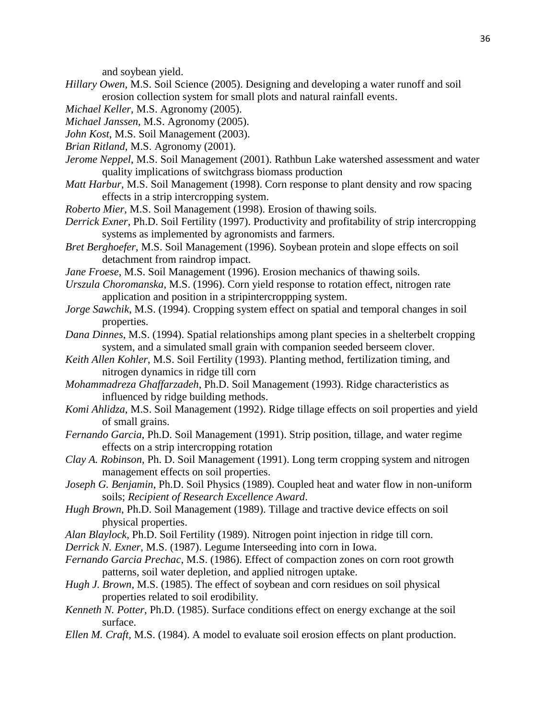and soybean yield.

- *Hillary Owen*, M.S. Soil Science (2005). Designing and developing a water runoff and soil erosion collection system for small plots and natural rainfall events.
- *Michael Keller*, M.S. Agronomy (2005).
- *Michael Janssen*, M.S. Agronomy (2005).
- *John Kost*, M.S. Soil Management (2003).
- *Brian Ritland*, M.S. Agronomy (2001).
- *Jerome Neppel*, M.S. Soil Management (2001). Rathbun Lake watershed assessment and water quality implications of switchgrass biomass production
- *Matt Harbur*, M.S. Soil Management (1998). Corn response to plant density and row spacing effects in a strip intercropping system.
- *Roberto Mier*, M.S. Soil Management (1998). Erosion of thawing soils.
- *Derrick Exner*, Ph.D. Soil Fertility (1997). Productivity and profitability of strip intercropping systems as implemented by agronomists and farmers.
- *Bret Berghoefer*, M.S. Soil Management (1996). Soybean protein and slope effects on soil detachment from raindrop impact.
- *Jane Froese*, M.S. Soil Management (1996). Erosion mechanics of thawing soils.
- *Urszula Choromanska*, M.S. (1996). Corn yield response to rotation effect, nitrogen rate application and position in a stripintercroppping system.
- *Jorge Sawchik*, M.S. (1994). Cropping system effect on spatial and temporal changes in soil properties.
- *Dana Dinnes*, M.S. (1994). Spatial relationships among plant species in a shelterbelt cropping system, and a simulated small grain with companion seeded berseem clover.
- *Keith Allen Kohler*, M.S. Soil Fertility (1993). Planting method, fertilization timing, and nitrogen dynamics in ridge till corn
- *Mohammadreza Ghaffarzadeh*, Ph.D. Soil Management (1993). Ridge characteristics as influenced by ridge building methods.
- *Komi Ahlidza*, M.S. Soil Management (1992). Ridge tillage effects on soil properties and yield of small grains.
- *Fernando Garcia*, Ph.D. Soil Management (1991). Strip position, tillage, and water regime effects on a strip intercropping rotation
- *Clay A. Robinson*, Ph. D. Soil Management (1991). Long term cropping system and nitrogen management effects on soil properties.
- *Joseph G. Benjamin*, Ph.D. Soil Physics (1989). Coupled heat and water flow in non-uniform soils; *Recipient of Research Excellence Award*.
- *Hugh Brown*, Ph.D. Soil Management (1989). Tillage and tractive device effects on soil physical properties.
- *Alan Blaylock*, Ph.D. Soil Fertility (1989). Nitrogen point injection in ridge till corn.
- *Derrick N. Exner*, M.S. (1987). Legume Interseeding into corn in Iowa.
- *Fernando Garcia Prechac*, M.S. (1986). Effect of compaction zones on corn root growth patterns, soil water depletion, and applied nitrogen uptake.
- *Hugh J. Brown*, M.S. (1985). The effect of soybean and corn residues on soil physical properties related to soil erodibility.
- *Kenneth N. Potter*, Ph.D. (1985). Surface conditions effect on energy exchange at the soil surface.
- *Ellen M. Craft*, M.S. (1984). A model to evaluate soil erosion effects on plant production.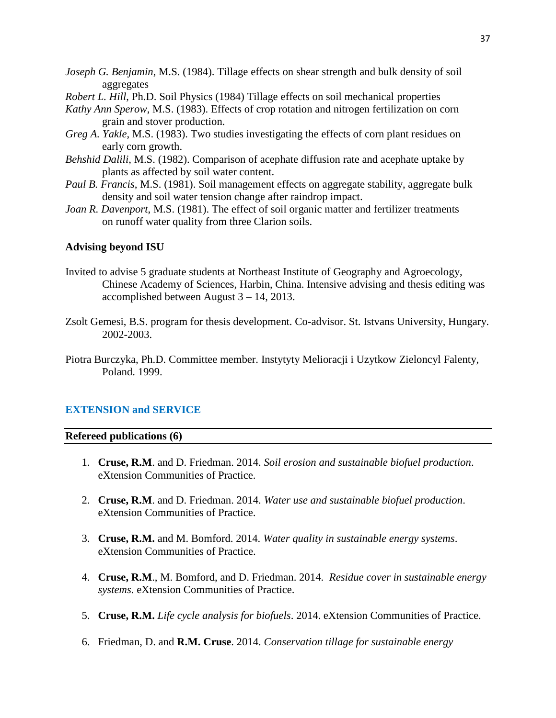- *Joseph G. Benjamin*, M.S. (1984). Tillage effects on shear strength and bulk density of soil aggregates
- *Robert L. Hill*, Ph.D. Soil Physics (1984) Tillage effects on soil mechanical properties
- *Kathy Ann Sperow*, M.S. (1983). Effects of crop rotation and nitrogen fertilization on corn grain and stover production.
- *Greg A. Yakle*, M.S. (1983). Two studies investigating the effects of corn plant residues on early corn growth.
- *Behshid Dalili*, M.S. (1982). Comparison of acephate diffusion rate and acephate uptake by plants as affected by soil water content.
- *Paul B. Francis*, M.S. (1981). Soil management effects on aggregate stability, aggregate bulk density and soil water tension change after raindrop impact.
- *Joan R. Davenport*, M.S. (1981). The effect of soil organic matter and fertilizer treatments on runoff water quality from three Clarion soils.

#### **Advising beyond ISU**

- Invited to advise 5 graduate students at Northeast Institute of Geography and Agroecology, Chinese Academy of Sciences, Harbin, China. Intensive advising and thesis editing was accomplished between August 3 – 14, 2013.
- Zsolt Gemesi, B.S. program for thesis development. Co-advisor. St. Istvans University, Hungary. 2002-2003.
- Piotra Burczyka, Ph.D. Committee member. Instytyty Melioracji i Uzytkow Zieloncyl Falenty, Poland. 1999.

#### **EXTENSION and SERVICE**

#### **Refereed publications (6)**

- 1. **Cruse, R.M**. and D. Friedman. 2014. *Soil erosion and sustainable biofuel production*. eXtension Communities of Practice.
- 2. **Cruse, R.M**. and D. Friedman. 2014. *Water use and sustainable biofuel production*. eXtension Communities of Practice.
- 3. **Cruse, R.M.** and M. Bomford. 2014. *Water quality in sustainable energy systems*. eXtension Communities of Practice.
- 4. **Cruse, R.M**., M. Bomford, and D. Friedman. 2014. *Residue cover in sustainable energy systems*. eXtension Communities of Practice.
- 5. **Cruse, R.M.** *Life cycle analysis for biofuels*. 2014. eXtension Communities of Practice.
- 6. Friedman, D. and **R.M. Cruse**. 2014. *Conservation tillage for sustainable energy*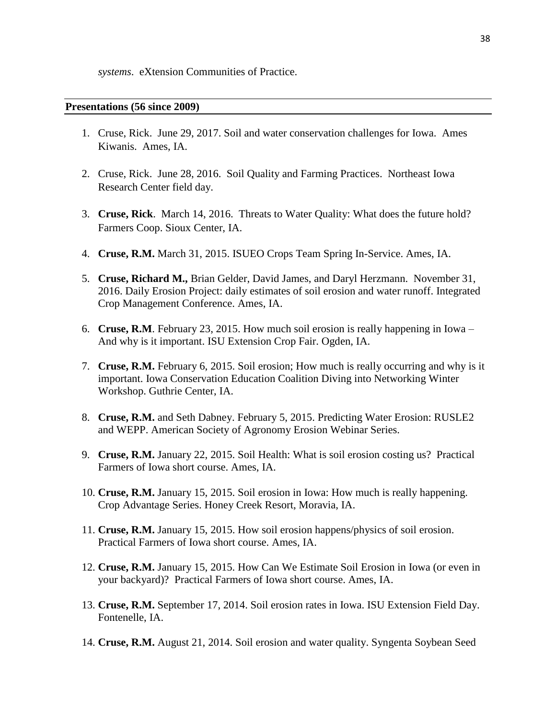*systems*. eXtension Communities of Practice.

#### **Presentations (56 since 2009)**

- 1. Cruse, Rick. June 29, 2017. Soil and water conservation challenges for Iowa. Ames Kiwanis. Ames, IA.
- 2. Cruse, Rick. June 28, 2016. Soil Quality and Farming Practices. Northeast Iowa Research Center field day.
- 3. **Cruse, Rick**. March 14, 2016. Threats to Water Quality: What does the future hold? Farmers Coop. Sioux Center, IA.
- 4. **Cruse, R.M.** March 31, 2015. ISUEO Crops Team Spring In-Service. Ames, IA.
- 5. **Cruse, Richard M.,** Brian Gelder, David James, and Daryl Herzmann. November 31, 2016. Daily Erosion Project: daily estimates of soil erosion and water runoff. Integrated Crop Management Conference. Ames, IA.
- 6. **Cruse, R.M**. February 23, 2015. How much soil erosion is really happening in Iowa And why is it important. ISU Extension Crop Fair. Ogden, IA.
- 7. **Cruse, R.M.** February 6, 2015. Soil erosion; How much is really occurring and why is it important. Iowa Conservation Education Coalition Diving into Networking Winter Workshop. Guthrie Center, IA.
- 8. **Cruse, R.M.** and Seth Dabney. February 5, 2015. Predicting Water Erosion: RUSLE2 and WEPP. American Society of Agronomy Erosion Webinar Series.
- 9. **Cruse, R.M.** January 22, 2015. Soil Health: What is soil erosion costing us? Practical Farmers of Iowa short course. Ames, IA.
- 10. **Cruse, R.M.** January 15, 2015. Soil erosion in Iowa: How much is really happening. Crop Advantage Series. Honey Creek Resort, Moravia, IA.
- 11. **Cruse, R.M.** January 15, 2015. How soil erosion happens/physics of soil erosion. Practical Farmers of Iowa short course. Ames, IA.
- 12. **Cruse, R.M.** January 15, 2015. How Can We Estimate Soil Erosion in Iowa (or even in your backyard)? Practical Farmers of Iowa short course. Ames, IA.
- 13. **Cruse, R.M.** September 17, 2014. Soil erosion rates in Iowa. ISU Extension Field Day. Fontenelle, IA.
- 14. **Cruse, R.M.** August 21, 2014. Soil erosion and water quality. Syngenta Soybean Seed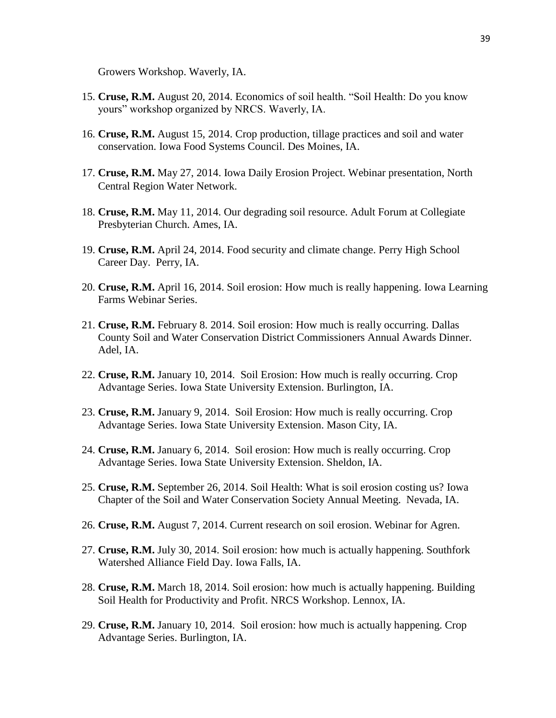Growers Workshop. Waverly, IA.

- 15. **Cruse, R.M.** August 20, 2014. Economics of soil health. "Soil Health: Do you know yours" workshop organized by NRCS. Waverly, IA.
- 16. **Cruse, R.M.** August 15, 2014. Crop production, tillage practices and soil and water conservation. Iowa Food Systems Council. Des Moines, IA.
- 17. **Cruse, R.M.** May 27, 2014. Iowa Daily Erosion Project. Webinar presentation, North Central Region Water Network.
- 18. **Cruse, R.M.** May 11, 2014. Our degrading soil resource. Adult Forum at Collegiate Presbyterian Church. Ames, IA.
- 19. **Cruse, R.M.** April 24, 2014. Food security and climate change. Perry High School Career Day. Perry, IA.
- 20. **Cruse, R.M.** April 16, 2014. Soil erosion: How much is really happening. Iowa Learning Farms Webinar Series.
- 21. **Cruse, R.M.** February 8. 2014. Soil erosion: How much is really occurring. Dallas County Soil and Water Conservation District Commissioners Annual Awards Dinner. Adel, IA.
- 22. **Cruse, R.M.** January 10, 2014. Soil Erosion: How much is really occurring. Crop Advantage Series. Iowa State University Extension. Burlington, IA.
- 23. **Cruse, R.M.** January 9, 2014. Soil Erosion: How much is really occurring. Crop Advantage Series. Iowa State University Extension. Mason City, IA.
- 24. **Cruse, R.M.** January 6, 2014. Soil erosion: How much is really occurring. Crop Advantage Series. Iowa State University Extension. Sheldon, IA.
- 25. **Cruse, R.M.** September 26, 2014. Soil Health: What is soil erosion costing us? Iowa Chapter of the Soil and Water Conservation Society Annual Meeting. Nevada, IA.
- 26. **Cruse, R.M.** August 7, 2014. Current research on soil erosion. Webinar for Agren.
- 27. **Cruse, R.M.** July 30, 2014. Soil erosion: how much is actually happening. Southfork Watershed Alliance Field Day. Iowa Falls, IA.
- 28. **Cruse, R.M.** March 18, 2014. Soil erosion: how much is actually happening. Building Soil Health for Productivity and Profit. NRCS Workshop. Lennox, IA.
- 29. **Cruse, R.M.** January 10, 2014. Soil erosion: how much is actually happening. Crop Advantage Series. Burlington, IA.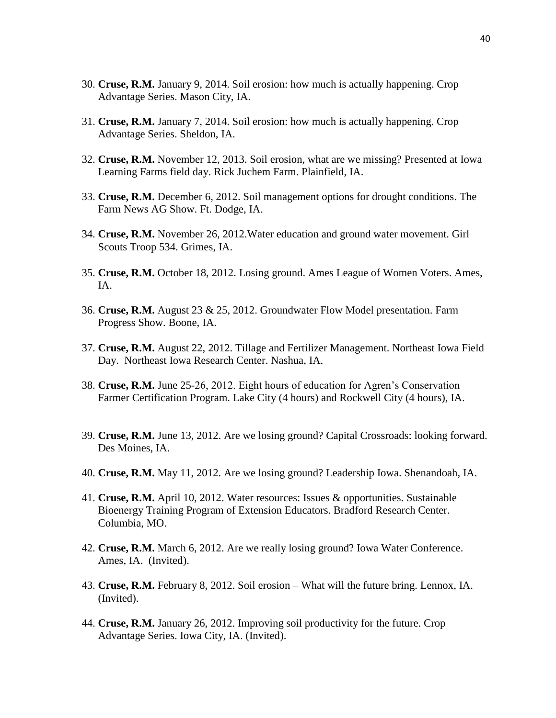- 30. **Cruse, R.M.** January 9, 2014. Soil erosion: how much is actually happening. Crop Advantage Series. Mason City, IA.
- 31. **Cruse, R.M.** January 7, 2014. Soil erosion: how much is actually happening. Crop Advantage Series. Sheldon, IA.
- 32. **Cruse, R.M.** November 12, 2013. Soil erosion, what are we missing? Presented at Iowa Learning Farms field day. Rick Juchem Farm. Plainfield, IA.
- 33. **Cruse, R.M.** December 6, 2012. Soil management options for drought conditions. The Farm News AG Show. Ft. Dodge, IA.
- 34. **Cruse, R.M.** November 26, 2012.Water education and ground water movement. Girl Scouts Troop 534. Grimes, IA.
- 35. **Cruse, R.M.** October 18, 2012. Losing ground. Ames League of Women Voters. Ames, IA.
- 36. **Cruse, R.M.** August 23 & 25, 2012. Groundwater Flow Model presentation. Farm Progress Show. Boone, IA.
- 37. **Cruse, R.M.** August 22, 2012. Tillage and Fertilizer Management. Northeast Iowa Field Day. Northeast Iowa Research Center. Nashua, IA.
- 38. **Cruse, R.M.** June 25-26, 2012. Eight hours of education for Agren's Conservation Farmer Certification Program. Lake City (4 hours) and Rockwell City (4 hours), IA.
- 39. **Cruse, R.M.** June 13, 2012. Are we losing ground? Capital Crossroads: looking forward. Des Moines, IA.
- 40. **Cruse, R.M.** May 11, 2012. Are we losing ground? Leadership Iowa. Shenandoah, IA.
- 41. **Cruse, R.M.** April 10, 2012. Water resources: Issues & opportunities. Sustainable Bioenergy Training Program of Extension Educators. Bradford Research Center. Columbia, MO.
- 42. **Cruse, R.M.** March 6, 2012. Are we really losing ground? Iowa Water Conference. Ames, IA. (Invited).
- 43. **Cruse, R.M.** February 8, 2012. Soil erosion What will the future bring. Lennox, IA. (Invited).
- 44. **Cruse, R.M.** January 26, 2012. Improving soil productivity for the future. Crop Advantage Series. Iowa City, IA. (Invited).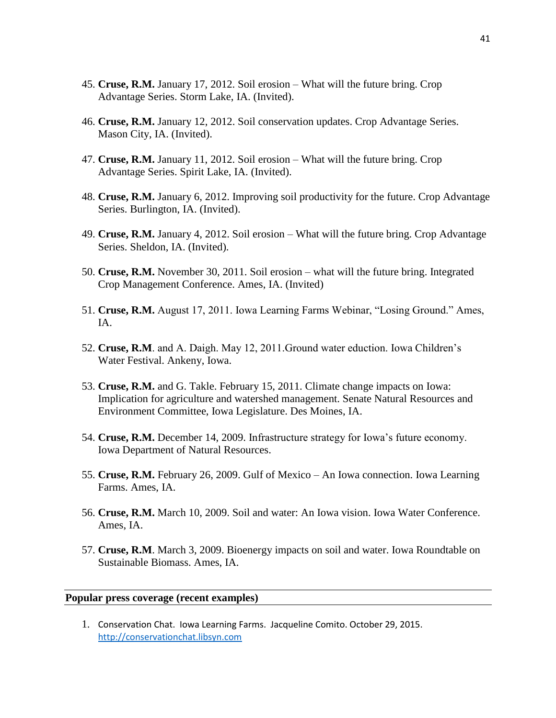- 45. **Cruse, R.M.** January 17, 2012. Soil erosion What will the future bring. Crop Advantage Series. Storm Lake, IA. (Invited).
- 46. **Cruse, R.M.** January 12, 2012. Soil conservation updates. Crop Advantage Series. Mason City, IA. (Invited).
- 47. **Cruse, R.M.** January 11, 2012. Soil erosion What will the future bring. Crop Advantage Series. Spirit Lake, IA. (Invited).
- 48. **Cruse, R.M.** January 6, 2012. Improving soil productivity for the future. Crop Advantage Series. Burlington, IA. (Invited).
- 49. **Cruse, R.M.** January 4, 2012. Soil erosion What will the future bring. Crop Advantage Series. Sheldon, IA. (Invited).
- 50. **Cruse, R.M.** November 30, 2011. Soil erosion what will the future bring. Integrated Crop Management Conference. Ames, IA. (Invited)
- 51. **Cruse, R.M.** August 17, 2011. Iowa Learning Farms Webinar, "Losing Ground." Ames, IA.
- 52. **Cruse, R.M**. and A. Daigh. May 12, 2011.Ground water eduction. Iowa Children's Water Festival. Ankeny, Iowa.
- 53. **Cruse, R.M.** and G. Takle. February 15, 2011. Climate change impacts on Iowa: Implication for agriculture and watershed management. Senate Natural Resources and Environment Committee, Iowa Legislature. Des Moines, IA.
- 54. **Cruse, R.M.** December 14, 2009. Infrastructure strategy for Iowa's future economy. Iowa Department of Natural Resources.
- 55. **Cruse, R.M.** February 26, 2009. Gulf of Mexico An Iowa connection. Iowa Learning Farms. Ames, IA.
- 56. **Cruse, R.M.** March 10, 2009. Soil and water: An Iowa vision. Iowa Water Conference. Ames, IA.
- 57. **Cruse, R.M**. March 3, 2009. Bioenergy impacts on soil and water. Iowa Roundtable on Sustainable Biomass. Ames, IA.

#### **Popular press coverage (recent examples)**

1. Conservation Chat. Iowa Learning Farms. Jacqueline Comito. October 29, 2015. [http://conservationchat.libsyn.com](http://conservationchat.libsyn.com/)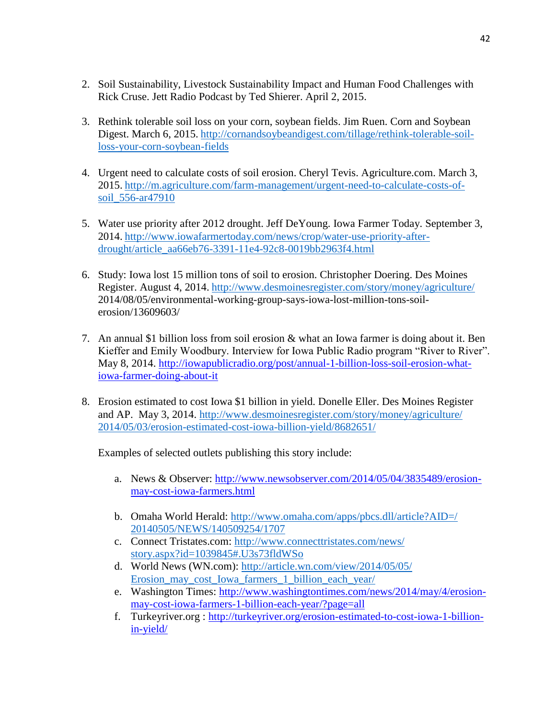- 2. Soil Sustainability, Livestock Sustainability Impact and Human Food Challenges with Rick Cruse. Jett Radio Podcast by Ted Shierer. April 2, 2015.
- 3. Rethink tolerable soil loss on your corn, soybean fields. Jim Ruen. Corn and Soybean Digest. March 6, 2015. [http://cornandsoybeandigest.com/tillage/rethink-tolerable-soil](http://cornandsoybeandigest.com/tillage/rethink-tolerable-soil-loss-your-corn-soybean-fields)[loss-your-corn-soybean-fields](http://cornandsoybeandigest.com/tillage/rethink-tolerable-soil-loss-your-corn-soybean-fields)
- 4. Urgent need to calculate costs of soil erosion. Cheryl Tevis. Agriculture.com. March 3, 2015. [http://m.agriculture.com/farm-management/urgent-need-to-calculate-costs-of](http://m.agriculture.com/farm-management/urgent-need-to-calculate-costs-of-soil_556-ar47910)[soil\\_556-ar47910](http://m.agriculture.com/farm-management/urgent-need-to-calculate-costs-of-soil_556-ar47910)
- 5. Water use priority after 2012 drought. Jeff DeYoung. Iowa Farmer Today. September 3, 2014. [http://www.iowafarmertoday.com/news/crop/water-use-priority-after](http://www.iowafarmertoday.com/news/crop/water-use-priority-after-drought/article_aa66eb76-3391-11e4-92c8-0019bb2963f4.html)[drought/article\\_aa66eb76-3391-11e4-92c8-0019bb2963f4.html](http://www.iowafarmertoday.com/news/crop/water-use-priority-after-drought/article_aa66eb76-3391-11e4-92c8-0019bb2963f4.html)
- 6. Study: Iowa lost 15 million tons of soil to erosion. Christopher Doering. Des Moines Register. August 4, 2014. <http://www.desmoinesregister.com/story/money/agriculture/> 2014/08/05/environmental-working-group-says-iowa-lost-million-tons-soilerosion/13609603/
- 7. An annual \$1 billion loss from soil erosion  $\&$  what an Iowa farmer is doing about it. Ben Kieffer and Emily Woodbury. Interview for Iowa Public Radio program "River to River". May 8, 2014. [http://iowapublicradio.org/post/annual-1-billion-loss-soil-erosion-what](http://iowapublicradio.org/post/annual-1-billion-loss-soil-erosion-what-iowa-farmer-doing-about-it)[iowa-farmer-doing-about-it](http://iowapublicradio.org/post/annual-1-billion-loss-soil-erosion-what-iowa-farmer-doing-about-it)
- 8. Erosion estimated to cost Iowa \$1 billion in yield. Donelle Eller. Des Moines Register and AP. May 3, 2014. [http://www.desmoinesregister.com/story/money/agriculture/](http://www.desmoinesregister.com/story/money/agriculture/%202014/05/03/erosion-estimated-cost-iowa-billion-yield/8682651/)  [2014/05/03/erosion-estimated-cost-iowa-billion-yield/8682651/](http://www.desmoinesregister.com/story/money/agriculture/%202014/05/03/erosion-estimated-cost-iowa-billion-yield/8682651/)

Examples of selected outlets publishing this story include:

- a. News & Observer: [http://www.newsobserver.com/2014/05/04/3835489/erosion](http://www.newsobserver.com/2014/05/04/3835489/erosion-may-cost-iowa-farmers.html)[may-cost-iowa-farmers.html](http://www.newsobserver.com/2014/05/04/3835489/erosion-may-cost-iowa-farmers.html)
- b. Omaha World Herald: [http://www.omaha.com/apps/pbcs.dll/article?AID=/](http://www.omaha.com/apps/pbcs.dll/article?AID=/%2020140505/NEWS/140509254/1707)  [20140505/NEWS/140509254/1707](http://www.omaha.com/apps/pbcs.dll/article?AID=/%2020140505/NEWS/140509254/1707)
- c. Connect Tristates.com: [http://www.connecttristates.com/news/](http://www.connecttristates.com/news/%20story.aspx?id=1039845#.U3s73fldWSo)  [story.aspx?id=1039845#.U3s73fldWSo](http://www.connecttristates.com/news/%20story.aspx?id=1039845#.U3s73fldWSo)
- d. World News (WN.com): [http://article.wn.com/view/2014/05/05/](http://article.wn.com/view/2014/05/05/%20Erosion_may_cost_Iowa_farmers_1_billion_each_year/)  [Erosion\\_may\\_cost\\_Iowa\\_farmers\\_1\\_billion\\_each\\_year/](http://article.wn.com/view/2014/05/05/%20Erosion_may_cost_Iowa_farmers_1_billion_each_year/)
- e. Washington Times: [http://www.washingtontimes.com/news/2014/may/4/erosion](http://www.washingtontimes.com/news/2014/may/4/erosion-may-cost-iowa-farmers-1-billion-each-year/?page=all)[may-cost-iowa-farmers-1-billion-each-year/?page=all](http://www.washingtontimes.com/news/2014/may/4/erosion-may-cost-iowa-farmers-1-billion-each-year/?page=all)
- f. Turkeyriver.org : [http://turkeyriver.org/erosion-estimated-to-cost-iowa-1-billion](http://turkeyriver.org/erosion-estimated-to-cost-iowa-1-billion-in-yield/)[in-yield/](http://turkeyriver.org/erosion-estimated-to-cost-iowa-1-billion-in-yield/)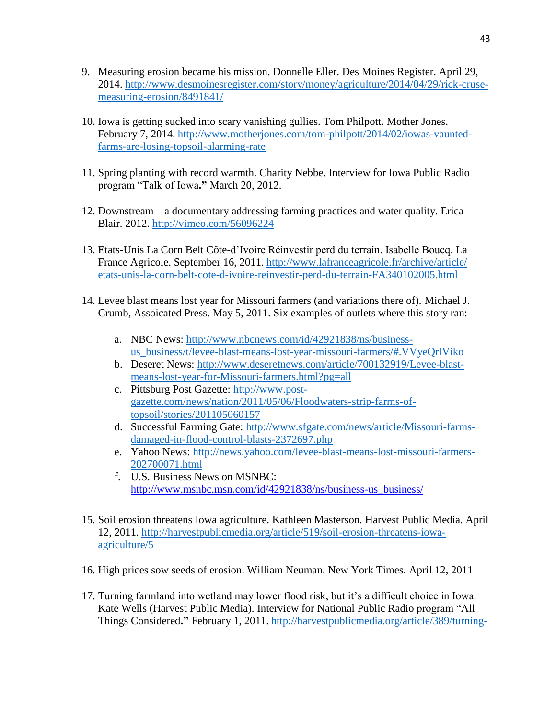- 9. Measuring erosion became his mission. Donnelle Eller. Des Moines Register. April 29, 2014. [http://www.desmoinesregister.com/story/money/agriculture/2014/04/29/rick-cruse](http://www.desmoinesregister.com/story/money/agriculture/2014/04/29/rick-cruse-measuring-erosion/8491841/)[measuring-erosion/8491841/](http://www.desmoinesregister.com/story/money/agriculture/2014/04/29/rick-cruse-measuring-erosion/8491841/)
- 10. Iowa is getting sucked into scary vanishing gullies. Tom Philpott. Mother Jones. February 7, 2014. [http://www.motherjones.com/tom-philpott/2014/02/iowas-vaunted](http://www.motherjones.com/tom-philpott/2014/02/iowas-vaunted-farms-are-losing-topsoil-alarming-rate)[farms-are-losing-topsoil-alarming-rate](http://www.motherjones.com/tom-philpott/2014/02/iowas-vaunted-farms-are-losing-topsoil-alarming-rate)
- 11. Spring planting with record warmth. Charity Nebbe. Interview for Iowa Public Radio program "Talk of Iowa**."** March 20, 2012.
- 12. Downstream a documentary addressing farming practices and water quality. Erica Blair. 2012.<http://vimeo.com/56096224>
- 13. Etats-Unis La Corn Belt Côte-d'Ivoire Réinvestir perd du terrain. Isabelle Boucq. La France Agricole. September 16, 2011. [http://www.lafranceagricole.fr/archive/article/](http://www.lafranceagricole.fr/archive/article/%20etats-unis-la-corn-belt-cote-d-ivoire-reinvestir-perd-du-terrain-FA340102005.html)  [etats-unis-la-corn-belt-cote-d-ivoire-reinvestir-perd-du-terrain-FA340102005.html](http://www.lafranceagricole.fr/archive/article/%20etats-unis-la-corn-belt-cote-d-ivoire-reinvestir-perd-du-terrain-FA340102005.html)
- 14. Levee blast means lost year for Missouri farmers (and variations there of). Michael J. Crumb, Assoicated Press. May 5, 2011. Six examples of outlets where this story ran:
	- a. NBC News: [http://www.nbcnews.com/id/42921838/ns/business](http://www.nbcnews.com/id/42921838/ns/business-us_business/t/levee-blast-means-lost-year-missouri-farmers/#.VVyeQrlViko)[us\\_business/t/levee-blast-means-lost-year-missouri-farmers/#.VVyeQrlViko](http://www.nbcnews.com/id/42921838/ns/business-us_business/t/levee-blast-means-lost-year-missouri-farmers/#.VVyeQrlViko)
	- b. Deseret News: [http://www.deseretnews.com/article/700132919/Levee-blast](http://www.deseretnews.com/article/700132919/Levee-blast-means-lost-year-for-Missouri-farmers.html?pg=all)[means-lost-year-for-Missouri-farmers.html?pg=all](http://www.deseretnews.com/article/700132919/Levee-blast-means-lost-year-for-Missouri-farmers.html?pg=all)
	- c. Pittsburg Post Gazette: [http://www.post](http://www.post-gazette.com/news/nation/2011/05/06/Floodwaters-strip-farms-of-topsoil/stories/201105060157)[gazette.com/news/nation/2011/05/06/Floodwaters-strip-farms-of](http://www.post-gazette.com/news/nation/2011/05/06/Floodwaters-strip-farms-of-topsoil/stories/201105060157)[topsoil/stories/201105060157](http://www.post-gazette.com/news/nation/2011/05/06/Floodwaters-strip-farms-of-topsoil/stories/201105060157)
	- d. Successful Farming Gate: [http://www.sfgate.com/news/article/Missouri-farms](http://www.sfgate.com/news/article/Missouri-farms-damaged-in-flood-control-blasts-2372697.php)[damaged-in-flood-control-blasts-2372697.php](http://www.sfgate.com/news/article/Missouri-farms-damaged-in-flood-control-blasts-2372697.php)
	- e. Yahoo News: [http://news.yahoo.com/levee-blast-means-lost-missouri-farmers-](http://news.yahoo.com/levee-blast-means-lost-missouri-farmers-202700071.html)[202700071.html](http://news.yahoo.com/levee-blast-means-lost-missouri-farmers-202700071.html)
	- f. U.S. Business News on MSNBC: [http://www.msnbc.msn.com/id/42921838/ns/business-us\\_business/](http://www.msnbc.msn.com/id/42921838/ns/business-us_business/)
- 15. Soil erosion threatens Iowa agriculture. Kathleen Masterson. Harvest Public Media. April 12, 2011. [http://harvestpublicmedia.org/article/519/soil-erosion-threatens-iowa](http://harvestpublicmedia.org/article/519/soil-erosion-threatens-iowa-agriculture/5)[agriculture/5](http://harvestpublicmedia.org/article/519/soil-erosion-threatens-iowa-agriculture/5)
- 16. High prices sow seeds of erosion. William Neuman. New York Times. April 12, 2011
- 17. Turning farmland into wetland may lower flood risk, but it's a difficult choice in Iowa. Kate Wells (Harvest Public Media). Interview for National Public Radio program "All Things Considered**."** February 1, 2011. [http://harvestpublicmedia.org/article/389/turning-](http://harvestpublicmedia.org/article/389/turning-farmland-wetland-may-lower-flood-risk-it%E2%80%99s-difficult-choice-iowa/5)